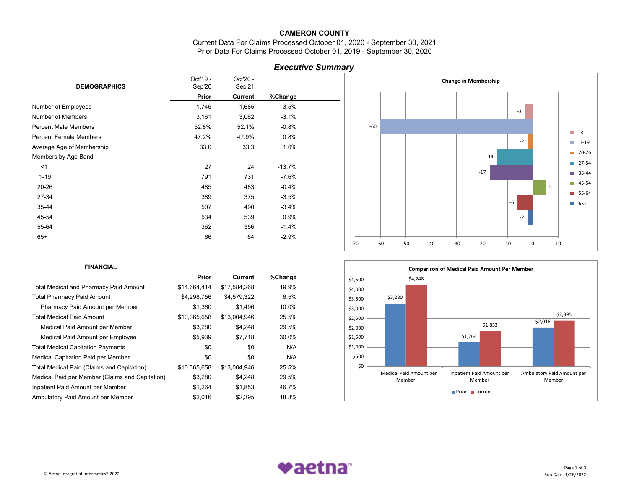Current Data For Claims Processed October 01, 2020 - September 30, 2021 Prior Data For Claims Processed October 01, 2019 - September 30, 2020

# *Executive Summary*

| <b>DEMOGRAPHICS</b>           | Oct'19 -<br>Sep'20 | Oct'20 -<br>Sep'21 |          |  |
|-------------------------------|--------------------|--------------------|----------|--|
|                               | Prior              | Current            | %Change  |  |
| Number of Employees           | 1,745              | 1,685              | $-3.5%$  |  |
| Number of Members             | 3,161              | 3,062              | $-3.1%$  |  |
| <b>Percent Male Members</b>   | 52.8%              | 52.1%              | $-0.8%$  |  |
| <b>Percent Female Members</b> | 47.2%              | 47.9%              | $0.8\%$  |  |
| Average Age of Membership     | 33.0               | 33.3               | 1.0%     |  |
| Members by Age Band           |                    |                    |          |  |
| $<$ 1                         | 27                 | 24                 | $-13.7%$ |  |
| $1 - 19$                      | 791                | 731                | $-7.6%$  |  |
| $20 - 26$                     | 485                | 483                | $-0.4%$  |  |
| 27-34                         | 389                | 375                | $-3.5%$  |  |
| 35-44                         | 507                | 490                | $-3.4%$  |  |
| 45-54                         | 534                | 539                | 0.9%     |  |
| 55-64                         | 362                | 356                | $-1.4\%$ |  |
| $65+$                         | 66                 | 64                 | $-2.9%$  |  |
|                               |                    |                    |          |  |



| <b>FINANCIAL</b>                                |              |              |         | <b>Comparison of Medical Paid Amount Per Member</b>                                                              |
|-------------------------------------------------|--------------|--------------|---------|------------------------------------------------------------------------------------------------------------------|
|                                                 | Prior        | Current      | %Change | \$4,248<br>\$4,500                                                                                               |
| Total Medical and Pharmacy Paid Amount          | \$14,664,414 | \$17,584,268 | 19.9%   | \$4,000                                                                                                          |
| Total Pharmacy Paid Amount                      | \$4,298,756  | \$4,579,322  | 6.5%    | \$3,280<br>\$3,500                                                                                               |
| Pharmacy Paid Amount per Member                 | \$1,360      | \$1,496      | 10.0%   | \$3,000                                                                                                          |
| Total Medical Paid Amount                       | \$10,365,658 | \$13,004,946 | 25.5%   | \$2,395<br>\$2,500                                                                                               |
| Medical Paid Amount per Member                  | \$3,280      | \$4,248      | 29.5%   | \$2,016<br>\$1,853<br>\$2,000                                                                                    |
| Medical Paid Amount per Employee                | \$5,939      | \$7,718      | 30.0%   | \$1,264<br>\$1,500                                                                                               |
| <b>Total Medical Capitation Payments</b>        | \$0          | \$0          | N/A     | \$1,000                                                                                                          |
| Medical Capitation Paid per Member              | \$0          | \$0          | N/A     | \$500                                                                                                            |
| Total Medical Paid (Claims and Capitation)      | \$10,365,658 | \$13,004,946 | 25.5%   | \$0                                                                                                              |
| Medical Paid per Member (Claims and Capitation) | \$3,280      | \$4,248      | 29.5%   | Medical Paid Amount per<br>Inpatient Paid Amount per<br>Ambulatory Paid Amount per<br>Member<br>Member<br>Member |
| Inpatient Paid Amount per Member                | \$1,264      | \$1,853      | 46.7%   |                                                                                                                  |
| Ambulatory Paid Amount per Member               | \$2,016      | \$2,395      | 18.8%   | <b>Prior</b><br>$\blacksquare$ Current                                                                           |

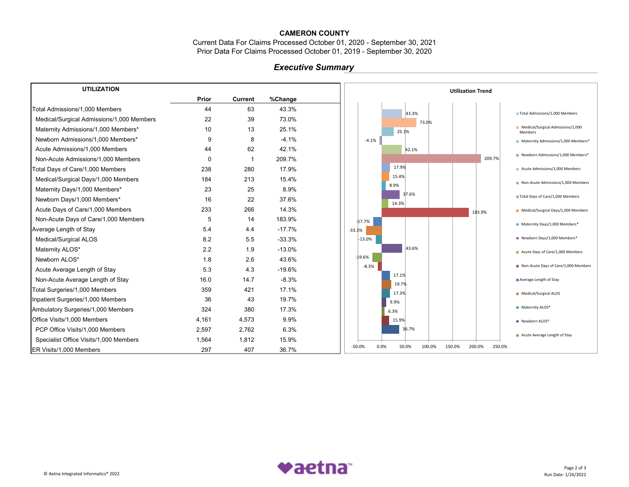Current Data For Claims Processed October 01, 2020 - September 30, 2021 Prior Data For Claims Processed October 01, 2019 - September 30, 2020

# *Executive Summary*

| <b>UTILIZATION</b>                        |          |             |          | <b>Utilization Trend</b>                                          |
|-------------------------------------------|----------|-------------|----------|-------------------------------------------------------------------|
|                                           | Prior    | Current     | %Change  |                                                                   |
| Total Admissions/1.000 Members            | 44       | 63          | 43.3%    | 43.3%<br>Total Admissions/1,000 Members                           |
| Medical/Surgical Admissions/1,000 Members | 22       | 39          | 73.0%    | 73.0%                                                             |
| Maternity Admissions/1,000 Members*       | 10       | 13          | 25.1%    | Medical/Surgical Admissions/1,000<br>25.1%<br>Members             |
| Newborn Admissions/1,000 Members*         | 9        | 8           | $-4.1%$  | $-4.1%$<br>Maternity Admissions/1,000 Members*                    |
| Acute Admissions/1,000 Members            | 44       | 62          | 42.1%    | 42.1%                                                             |
| Non-Acute Admissions/1,000 Members        | $\Omega$ | $\mathbf 1$ | 209.7%   | Newborn Admissions/1,000 Members*<br>209.7%                       |
| Total Days of Care/1,000 Members          | 238      | 280         | 17.9%    | 17.9%<br>Acute Admissions/1,000 Members                           |
| Medical/Surgical Days/1,000 Members       | 184      | 213         | 15.4%    | 15.4%<br>Non-Acute Admissions/1,000 Members                       |
| Maternity Days/1,000 Members*             | 23       | 25          | 8.9%     | 8.9%<br>37.6%                                                     |
| Newborn Days/1,000 Members*               | 16       | 22          | 37.6%    | Total Days of Care/1,000 Members<br>14.3%                         |
| Acute Days of Care/1,000 Members          | 233      | 266         | 14.3%    | Medical/Surgical Days/1,000 Members<br>183.9%                     |
| Non-Acute Days of Care/1,000 Members      | 5        | 14          | 183.9%   | $-17.7%$<br>Maternity Days/1,000 Members*                         |
| Average Length of Stay                    | 5.4      | 4.4         | $-17.7%$ | $-33.3%$                                                          |
| Medical/Surgical ALOS                     | 8.2      | 5.5         | $-33.3%$ | Newborn Days/1,000 Members*<br>$-13.0%$                           |
| Maternity ALOS*                           | 2.2      | 1.9         | $-13.0%$ | 43.6%<br>Acute Days of Care/1,000 Members                         |
| Newborn ALOS*                             | 1.8      | 2.6         | 43.6%    | $-19.6%$                                                          |
| Acute Average Length of Stay              | 5.3      | 4.3         | $-19.6%$ | Non-Acute Days of Care/1,000 Members<br>$-8.3%$                   |
| Non-Acute Average Length of Stay          | 16.0     | 14.7        | $-8.3%$  | 17.1%<br>Average Length of Stay<br>19.7%                          |
| Total Surgeries/1,000 Members             | 359      | 421         | 17.1%    | 17.3%<br>Medical/Surgical ALOS                                    |
| Inpatient Surgeries/1,000 Members         | 36       | 43          | 19.7%    | 9.9%                                                              |
| Ambulatory Surgeries/1,000 Members        | 324      | 380         | 17.3%    | Maternity ALOS*<br>6.3%                                           |
| Office Visits/1,000 Members               | 4,161    | 4,573       | 9.9%     | 15.9%<br>Newborn ALOS*                                            |
| PCP Office Visits/1,000 Members           | 2,597    | 2,762       | 6.3%     | 36.7%                                                             |
| Specialist Office Visits/1,000 Members    | 1,564    | 1,812       | 15.9%    | ■ Acute Average Length of Stay                                    |
| ER Visits/1,000 Members                   | 297      | 407         | 36.7%    | 0.0%<br>50.0%<br>150.0%<br>250.0%<br>$-50.0%$<br>100.0%<br>200.0% |

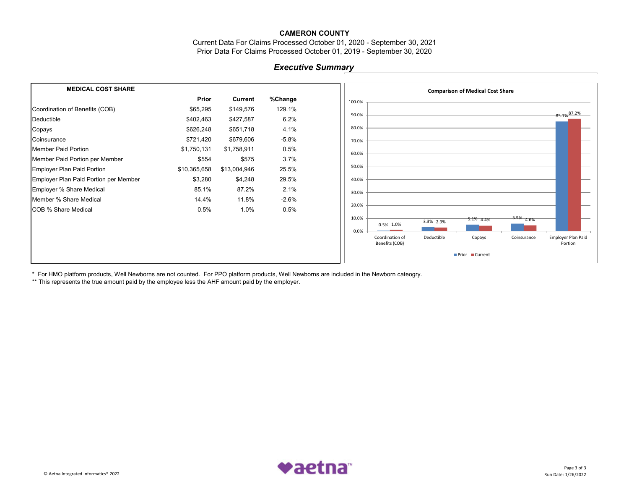Current Data For Claims Processed October 01, 2020 - September 30, 2021 Prior Data For Claims Processed October 01, 2019 - September 30, 2020

### *Executive Summary*

| <b>MEDICAL COST SHARE</b>             |              |                |         | <b>Comparison of Medical Cost Share</b>                                                                   |
|---------------------------------------|--------------|----------------|---------|-----------------------------------------------------------------------------------------------------------|
|                                       | Prior        | <b>Current</b> | %Change | 100.0%                                                                                                    |
| Coordination of Benefits (COB)        | \$65,295     | \$149,576      | 129.1%  |                                                                                                           |
| Deductible                            | \$402,463    | \$427,587      | 6.2%    | $-85.1\%$ <sup>87.2%</sup><br>90.0%                                                                       |
| Copays                                | \$626,248    | \$651,718      | 4.1%    | 80.0%                                                                                                     |
| Coinsurance                           | \$721,420    | \$679,606      | $-5.8%$ | 70.0%                                                                                                     |
| Member Paid Portion                   | \$1,750,131  | \$1,758,911    | 0.5%    | 60.0%                                                                                                     |
| Member Paid Portion per Member        | \$554        | \$575          | 3.7%    |                                                                                                           |
| Employer Plan Paid Portion            | \$10,365,658 | \$13,004,946   | 25.5%   | 50.0%                                                                                                     |
| Employer Plan Paid Portion per Member | \$3,280      | \$4,248        | 29.5%   | 40.0%                                                                                                     |
| Employer % Share Medical              | 85.1%        | 87.2%          | 2.1%    | 30.0%                                                                                                     |
| Member % Share Medical                | 14.4%        | 11.8%          | $-2.6%$ |                                                                                                           |
| <b>COB % Share Medical</b>            | 0.5%         | 1.0%           | 0.5%    | 20.0%                                                                                                     |
|                                       |              |                |         | 10.0%<br>$-5.9\%$ 4.6%<br>$-5.1\%$ 4.4%<br>3.3% 2.9%                                                      |
|                                       |              |                |         | 0.5% 1.0%<br>0.0%                                                                                         |
|                                       |              |                |         | Employer Plan Paid<br>Coordination of<br>Deductible<br>Copays<br>Coinsurance<br>Benefits (COB)<br>Portion |
|                                       |              |                |         | Prior Current                                                                                             |

\* For HMO platform products, Well Newborns are not counted. For PPO platform products, Well Newborns are included in the Newborn cateogry.

\*\* This represents the true amount paid by the employee less the AHF amount paid by the employer.

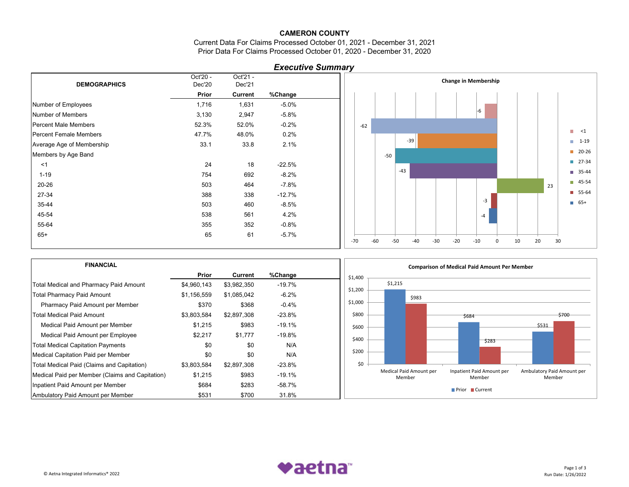Current Data For Claims Processed October 01, 2021 - December 31, 2021 Prior Data For Claims Processed October 01, 2020 - December 31, 2020

| <b>Executive Summary</b> |  |
|--------------------------|--|
|--------------------------|--|

|                               | Oct'20 - | Oct'21 -       |          |  |
|-------------------------------|----------|----------------|----------|--|
| <b>DEMOGRAPHICS</b>           | Dec'20   | Dec'21         |          |  |
|                               | Prior    | <b>Current</b> | %Change  |  |
| Number of Employees           | 1,716    | 1,631          | $-5.0\%$ |  |
| Number of Members             | 3,130    | 2,947          | $-5.8%$  |  |
| <b>Percent Male Members</b>   | 52.3%    | 52.0%          | $-0.2%$  |  |
| <b>Percent Female Members</b> | 47.7%    | 48.0%          | 0.2%     |  |
| Average Age of Membership     | 33.1     | 33.8           | 2.1%     |  |
| Members by Age Band           |          |                |          |  |
| <1                            | 24       | 18             | $-22.5%$ |  |
| $1 - 19$                      | 754      | 692            | $-8.2\%$ |  |
| $20 - 26$                     | 503      | 464            | $-7.8%$  |  |
| 27-34                         | 388      | 338            | $-12.7%$ |  |
| 35-44                         | 503      | 460            | $-8.5%$  |  |
| 45-54                         | 538      | 561            | 4.2%     |  |
| 55-64                         | 355      | 352            | $-0.8%$  |  |
| $65+$                         | 65       | 61             | $-5.7%$  |  |
|                               |          |                |          |  |



| <b>FINANCIAL</b>                                |             |             |           | <b>Comparison of Medical Paid Amount Per Member</b>                                                              |
|-------------------------------------------------|-------------|-------------|-----------|------------------------------------------------------------------------------------------------------------------|
|                                                 | Prior       | Current     | %Change   | \$1,400                                                                                                          |
| Total Medical and Pharmacy Paid Amount          | \$4,960,143 | \$3,982,350 | $-19.7%$  | \$1,215                                                                                                          |
| <b>Total Pharmacy Paid Amount</b>               | \$1,156,559 | \$1,085,042 | $-6.2%$   | \$1,200<br>\$983                                                                                                 |
| Pharmacy Paid Amount per Member                 | \$370       | \$368       | $-0.4%$   | \$1,000                                                                                                          |
| <b>Total Medical Paid Amount</b>                | \$3,803,584 | \$2,897,308 | $-23.8\%$ | \$800<br>\$700<br>\$684                                                                                          |
| Medical Paid Amount per Member                  | \$1,215     | \$983       | $-19.1%$  | \$531<br>\$600                                                                                                   |
| Medical Paid Amount per Employee                | \$2,217     | \$1,777     | $-19.8%$  | \$400                                                                                                            |
| <b>Total Medical Capitation Payments</b>        | \$0         | \$0         | N/A       | 5283                                                                                                             |
| Medical Capitation Paid per Member              | \$0         | \$0         | N/A       | \$200                                                                                                            |
| Total Medical Paid (Claims and Capitation)      | \$3,803,584 | \$2,897,308 | $-23.8\%$ | \$0                                                                                                              |
| Medical Paid per Member (Claims and Capitation) | \$1,215     | \$983       | $-19.1%$  | Medical Paid Amount per<br>Ambulatory Paid Amount per<br>Inpatient Paid Amount per<br>Member<br>Member<br>Member |
| Inpatient Paid Amount per Member                | \$684       | \$283       | -58.7%    | Prior Current                                                                                                    |
| Ambulatory Paid Amount per Member               | \$531       | \$700       | 31.8%     |                                                                                                                  |

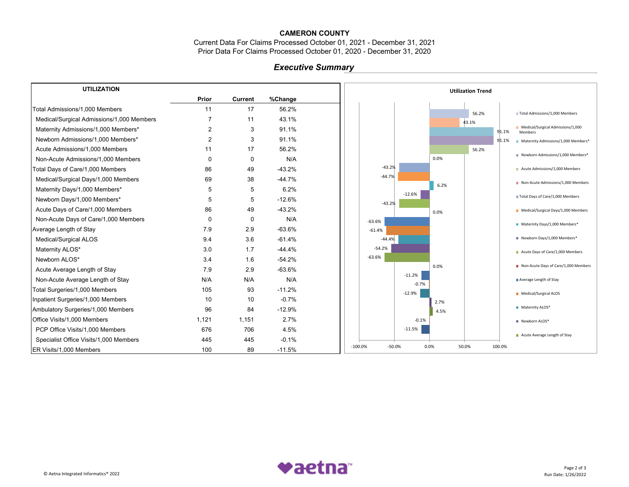Current Data For Claims Processed October 01, 2021 - December 31, 2021 Prior Data For Claims Processed October 01, 2020 - December 31, 2020

# *Executive Summary*

| <b>UTILIZATION</b>                        |                |                |          | <b>Utilization Trend</b>                                     |
|-------------------------------------------|----------------|----------------|----------|--------------------------------------------------------------|
|                                           | Prior          | <b>Current</b> | %Change  |                                                              |
| Total Admissions/1.000 Members            | 11             | 17             | 56.2%    | 56.2%<br>Total Admissions/1,000 Members                      |
| Medical/Surgical Admissions/1,000 Members | $\overline{7}$ | 11             | 43.1%    | 43.1%                                                        |
| Maternity Admissions/1,000 Members*       | 2              | 3              | 91.1%    | Medical/Surgical Admissions/1,000<br>91.1%<br><b>Members</b> |
| Newborn Admissions/1,000 Members*         | 2              | 3              | 91.1%    | 91.1%<br>Maternity Admissions/1,000 Members*                 |
| Acute Admissions/1,000 Members            | 11             | 17             | 56.2%    | 56.2%                                                        |
| Non-Acute Admissions/1,000 Members        | 0              | 0              | N/A      | Newborn Admissions/1,000 Members*<br>0.0%                    |
| Total Days of Care/1,000 Members          | 86             | 49             | $-43.2%$ | $-43.2%$<br>Acute Admissions/1,000 Members                   |
| Medical/Surgical Days/1,000 Members       | 69             | 38             | $-44.7%$ | $-44.7%$<br>Non-Acute Admissions/1,000 Members               |
| Maternity Days/1,000 Members*             | 5              | 5              | 6.2%     | 6.2%<br>$-12.6%$                                             |
| Newborn Days/1,000 Members*               | 5              | 5              | $-12.6%$ | Total Days of Care/1,000 Members<br>$-43.2%$                 |
| Acute Days of Care/1,000 Members          | 86             | 49             | $-43.2%$ | Medical/Surgical Days/1,000 Members<br>0.0%                  |
| Non-Acute Days of Care/1,000 Members      | $\Omega$       | 0              | N/A      | $-63.6%$<br>Maternity Days/1,000 Members*                    |
| Average Length of Stay                    | 7.9            | 2.9            | $-63.6%$ | $-61.4%$                                                     |
| Medical/Surgical ALOS                     | 9.4            | 3.6            | $-61.4%$ | Newborn Days/1,000 Members*<br>$-44.4%$                      |
| Maternity ALOS*                           | 3.0            | 1.7            | $-44.4%$ | $-54.2%$<br>Acute Days of Care/1,000 Members                 |
| Newborn ALOS*                             | 3.4            | 1.6            | $-54.2%$ | $-63.6%$                                                     |
| Acute Average Length of Stay              | 7.9            | 2.9            | $-63.6%$ | Non-Acute Days of Care/1,000 Members<br>0.0%                 |
| Non-Acute Average Length of Stay          | N/A            | N/A            | N/A      | $-11.2%$<br>Average Length of Stay<br>$-0.7%$                |
| Total Surgeries/1,000 Members             | 105            | 93             | $-11.2%$ | $-12.9%$<br>Medical/Surgical ALOS                            |
| Inpatient Surgeries/1,000 Members         | 10             | 10             | $-0.7%$  | 2.7%                                                         |
| Ambulatory Surgeries/1,000 Members        | 96             | 84             | $-12.9%$ | Maternity ALOS*<br>4.5%                                      |
| Office Visits/1,000 Members               | 1,121          | 1,151          | 2.7%     | $-0.1%$<br>Newborn ALOS*                                     |
| PCP Office Visits/1,000 Members           | 676            | 706            | 4.5%     | $-11.5%$                                                     |
| Specialist Office Visits/1,000 Members    | 445            | 445            | $-0.1%$  | Acute Average Length of Stay                                 |
| ER Visits/1,000 Members                   | 100            | 89             | $-11.5%$ | 50.0%<br>$-100.0%$<br>$-50.0%$<br>0.0%<br>100.0%             |

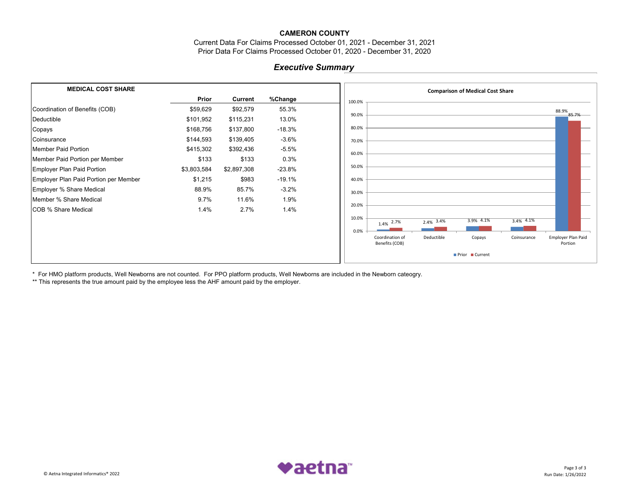Current Data For Claims Processed October 01, 2021 - December 31, 2021 Prior Data For Claims Processed October 01, 2020 - December 31, 2020

### *Executive Summary*

| <b>MEDICAL COST SHARE</b>             |             |                |          | <b>Comparison of Medical Cost Share</b>                                                                           |
|---------------------------------------|-------------|----------------|----------|-------------------------------------------------------------------------------------------------------------------|
|                                       | Prior       | <b>Current</b> | %Change  | 100.0%                                                                                                            |
| Coordination of Benefits (COB)        | \$59,629    | \$92,579       | 55.3%    | 88.9%                                                                                                             |
| Deductible                            | \$101,952   | \$115,231      | 13.0%    | 90.0%<br>85.7%                                                                                                    |
| Copays                                | \$168,756   | \$137,800      | $-18.3%$ | 80.0%                                                                                                             |
| Coinsurance                           | \$144,593   | \$139,405      | $-3.6%$  | 70.0%                                                                                                             |
| Member Paid Portion                   | \$415,302   | \$392,436      | $-5.5%$  | 60.0%                                                                                                             |
| Member Paid Portion per Member        | \$133       | \$133          | 0.3%     |                                                                                                                   |
| Employer Plan Paid Portion            | \$3,803,584 | \$2,897,308    | $-23.8%$ | 50.0%                                                                                                             |
| Employer Plan Paid Portion per Member | \$1,215     | \$983          | $-19.1%$ | 40.0%                                                                                                             |
| Employer % Share Medical              | 88.9%       | 85.7%          | $-3.2%$  | 30.0%                                                                                                             |
| Member % Share Medical                | 9.7%        | 11.6%          | 1.9%     |                                                                                                                   |
| <b>COB % Share Medical</b>            | 1.4%        | 2.7%           | 1.4%     | 20.0%                                                                                                             |
|                                       |             |                |          | 10.0%<br>3.9% 4.1%<br>$3.4\%$ 4.1%<br>$2.4\%$ 3.4%<br>1.4% 2.7%                                                   |
|                                       |             |                |          | 0.0%<br>Employer Plan Paid<br>Coordination of<br>Deductible<br>Copays<br>Coinsurance<br>Benefits (COB)<br>Portion |
|                                       |             |                |          | Prior Current                                                                                                     |

\* For HMO platform products, Well Newborns are not counted. For PPO platform products, Well Newborns are included in the Newborn cateogry.

\*\* This represents the true amount paid by the employee less the AHF amount paid by the employer.

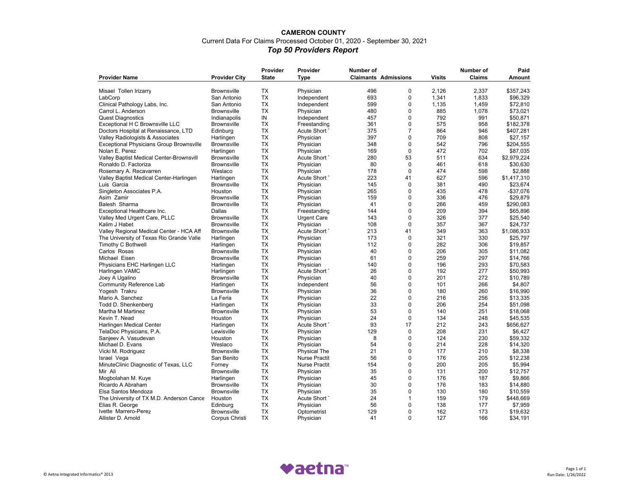### **CAMERON COUNTY**  Current Data For Claims Processed October 01, 2020 - September 30, 2021 *Top 50 Providers Report*

|                                                  |                              | Provider     | Provider             | Number of |                             |               | Number of     | Paid                |
|--------------------------------------------------|------------------------------|--------------|----------------------|-----------|-----------------------------|---------------|---------------|---------------------|
| <b>Provider Name</b>                             | <b>Provider City</b>         | <b>State</b> | <b>Type</b>          |           | <b>Claimants Admissions</b> | <b>Visits</b> | <b>Claims</b> | <b>Amount</b>       |
|                                                  |                              |              |                      |           |                             |               |               |                     |
| Misael Tollen Irizarry                           | <b>Brownsville</b>           | <b>TX</b>    | Physician            | 496       | $\mathbf 0$                 | 2.126         | 2.337         | \$357.243           |
| LabCorp                                          | San Antonio                  | <b>TX</b>    | Independent          | 693       | 0                           | 1,341         | 1,833         | \$96,329            |
| Clinical Pathology Labs, Inc.                    | San Antonio                  | <b>TX</b>    | Independent          | 599       | $\mathbf 0$                 | 1,135         | 1,459         | \$72,810            |
| Carrol L. Anderson                               | <b>Brownsville</b>           | <b>TX</b>    | Physician            | 480       | $\mathbf 0$                 | 885           | 1,078         | \$73,021            |
| <b>Quest Diagnostics</b>                         | Indianapolis                 | IN           | Independent          | 457       | $\mathbf 0$                 | 792           | 991           | \$50,871            |
| Exceptional H C Brownsville LLC                  | <b>Brownsville</b>           | <b>TX</b>    | Freestanding         | 361       | $\mathbf 0$                 | 575           | 958           | \$182,378           |
| Doctors Hospital at Renaissance, LTD             | Edinburg                     | <b>TX</b>    | Acute Short          | 375       | $\overline{7}$              | 864           | 946           | \$407,281           |
| Valley Radiologists & Associates                 | Harlingen                    | TX           | Physician            | 397       | $\mathbf 0$                 | 709           | 808           | \$27,157            |
| <b>Exceptional Physicians Group Brownsville</b>  | <b>Brownsville</b>           | TX           | Physician            | 348       | $\mathbf 0$                 | 542           | 796           | \$204,555           |
| Nolan E. Perez                                   | Harlingen                    | TX           | Physician            | 169       | $\mathbf 0$                 | 472           | 702           | \$87,035            |
| Valley Baptist Medical Center-Brownsvill         | <b>Brownsville</b>           | <b>TX</b>    | Acute Short          | 280       | 53                          | 511           | 634           | \$2,979,224         |
| Ronaldo D. Factoriza                             | <b>Brownsville</b>           | <b>TX</b>    | Physician            | 80        | $\Omega$                    | 461           | 618           | \$30.630            |
| Rosemary A. Recavarren                           | Weslaco                      | <b>TX</b>    | Physician            | 178       | $\Omega$                    | 474           | 598           | \$2,888             |
| Valley Baptist Medical Center-Harlingen          | Harlingen                    | <b>TX</b>    | Acute Short          | 223       | 41                          | 627           | 596           | \$1,417,310         |
| Luis Garcia                                      | <b>Brownsville</b>           | <b>TX</b>    | Physician            | 145       | $\mathbf 0$                 | 381           | 490           | \$23,674            |
| Singleton Associates P.A.                        | Houston                      | <b>TX</b>    | Physician            | 265       | $\Omega$                    | 435           | 478           | $-$37,076$          |
| Asim Zamir                                       | <b>Brownsville</b>           | <b>TX</b>    | Physician            | 159       | $\Omega$                    | 336           | 476           | \$29,879            |
| Balesh Sharma                                    | <b>Brownsville</b>           | TX           | Physician            | 41        | $\mathbf 0$                 | 266           | 459           | \$290,083           |
| Exceptional Healthcare Inc.                      | Dallas                       | <b>TX</b>    | Freestanding         | 144       | $\Omega$                    | 209           | 394           | \$65,896            |
| Valley Med Urgent Care, PLLC                     | <b>Brownsville</b>           | TX           | <b>Urgent Care</b>   | 143       | 0                           | 326           | 377           | \$25,540            |
| Kalim J Habet                                    | <b>Brownsville</b>           | <b>TX</b>    | Physician            | 108       | $\mathbf 0$                 | 357           | 367           | \$24,737            |
| Valley Regional Medical Center - HCA Aff         | <b>Brownsville</b>           | <b>TX</b>    | Acute Short          | 213       | 41                          | 349           | 363           | \$1,086,933         |
| The University of Texas Rio Grande Valle         | Harlingen                    | <b>TX</b>    | Physician            | 173       | $\mathbf 0$                 | 321           | 330           | \$25,797            |
| Timothy C Bothwell                               | Harlingen                    | <b>TX</b>    | Physician            | 112       | $\Omega$                    | 282           | 306           | \$19.857            |
| Carlos Rosas                                     | <b>Brownsville</b>           | <b>TX</b>    | Physician            | 40        | $\Omega$                    | 206           | 305           | \$11,082            |
| Michael Eisen                                    | <b>Brownsville</b>           | <b>TX</b>    | Physician            | 61        | 0                           | 259           | 297           | \$14,766            |
| Physicians EHC Harlingen LLC                     | Harlingen                    | <b>TX</b>    | Physician            | 140       | $\Omega$                    | 196           | 293           | \$70,583            |
| Harlingen VAMC                                   | Harlingen                    | <b>TX</b>    | Acute Short          | 26        | 0                           | 192           | 277           | \$50,993            |
| Joey A Ugalino                                   | <b>Brownsville</b>           | <b>TX</b>    | Physician            | 40        | $\Omega$                    | 201           | 272           | \$10,789            |
| <b>Community Reference Lab</b>                   | Harlingen                    | <b>TX</b>    | Independent          | 56        | $\Omega$                    | 101           | 266           | \$4,807             |
| Yogesh Trakru                                    | <b>Brownsville</b>           | <b>TX</b>    | Physician            | 36        | 0                           | 180           | 260           | \$16,990            |
| Mario A. Sanchez                                 | La Feria                     | <b>TX</b>    | Physician            | 22        | $\Omega$                    | 216           | 256           | \$13,335            |
| Todd D. Shenkenberg                              | Harlingen                    | TX           | Physician            | 33        | 0                           | 206           | 254           | \$51,098            |
| Martha M Martinez                                | <b>Brownsville</b>           | <b>TX</b>    | Physician            | 53        | $\Omega$                    | 140           | 251           | \$18,068            |
| Kevin T. Nead                                    | Houston                      | <b>TX</b>    | Physician            | 24        | $\mathbf 0$                 | 134           | 248           | \$45,535            |
| Harlingen Medical Center                         | Harlingen                    | TX           | Acute Short          | 93        | 17                          | 212           | 243           | \$656,627           |
| TelaDoc Physicians, P.A.                         | Lewisville                   | TX           | Physician            | 129       | $\mathbf 0$                 | 208           | 231           | \$6,427             |
| Sanieev A. Vasudevan                             | Houston                      | <b>TX</b>    | Physician            | 8         | $\Omega$                    | 124           | 230           | \$59,332            |
| Michael D. Evans                                 | Weslaco                      | <b>TX</b>    | Physician            | 54        | $\Omega$                    | 214           | 228           | \$14,320            |
| Vicki M. Rodriguez                               | <b>Brownsville</b>           | <b>TX</b>    | <b>Physical The</b>  | 21        | $\mathbf{0}$                | 177           | 210           | \$8,338             |
|                                                  | San Benito                   | <b>TX</b>    | <b>Nurse Practit</b> | 56        | $\Omega$                    | 176           | 205           | \$12,238            |
| Israel Vega                                      |                              | <b>TX</b>    | <b>Nurse Practit</b> | 154       | 0                           | 200           | 205           |                     |
| MinuteClinic Diagnostic of Texas, LLC<br>Mir Ali | Forney<br><b>Brownsville</b> | <b>TX</b>    |                      | 35        | $\mathbf 0$                 | 131           | 200           | \$5,994<br>\$12,757 |
|                                                  |                              |              | Physician            |           |                             |               |               |                     |
| Mogbolahan M. Kuye                               | Harlingen                    | <b>TX</b>    | Physician            | 45        | 0<br>$\Omega$               | 176           | 187           | \$9,866             |
| Ricardo A Abraham                                | <b>Brownsville</b>           | TX           | Physician            | 30        |                             | 176           | 183           | \$14,880            |
| Elsa Santos Mendoza                              | <b>Brownsville</b>           | <b>TX</b>    | Physician            | 35        | 0                           | 130           | 180           | \$10,559            |
| The University of TX M.D. Anderson Cance         | Houston                      | TX           | Acute Short          | 24        | 1                           | 159           | 179           | \$448,669           |
| Elias R. George                                  | Edinburg                     | <b>TX</b>    | Physician            | 56        | $\mathbf 0$                 | 138           | 177           | \$7,959             |
| Ivette Marrero-Perez                             | <b>Brownsville</b>           | <b>TX</b>    | Optometrist          | 129       | 0                           | 162           | 173           | \$19,632            |
| Allister D. Arnold                               | Corpus Christi               | <b>TX</b>    | Physician            | 41        | $\Omega$                    | 127           | 166           | \$34,191            |

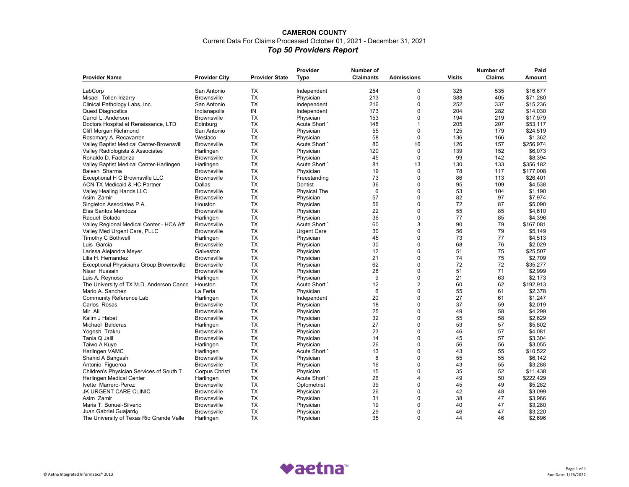### **CAMERON COUNTY** Current Data For Claims Processed October 01, 2021 - December 31, 2021 *Top 50 Providers Report*

| <b>Provider City</b><br><b>Provider State</b><br><b>Claimants</b><br><b>Visits</b><br><b>Claims</b><br><b>Provider Name</b><br><b>Type</b><br><b>Admissions</b><br>Amount<br>325<br>LabCorp<br>San Antonio<br><b>TX</b><br>254<br>0<br>535<br>\$16,677<br>Independent<br><b>TX</b><br>$\mathbf 0$<br>388<br>405<br><b>Brownsville</b><br>Physician<br>213<br>\$71,280<br>Misael Tollen Irizarry<br><b>TX</b><br>$\mathbf 0$<br>Clinical Pathology Labs, Inc.<br>216<br>252<br>337<br>\$15,236<br>San Antonio<br>Independent<br>IN<br>0<br>204<br>173<br>282<br>\$14,030<br><b>Quest Diagnostics</b><br>Indianapolis<br>Independent<br><b>TX</b><br>$\mathbf 0$<br>194<br>219<br>\$17,979<br>Carrol L. Anderson<br><b>Brownsville</b><br>Physician<br>153<br><b>TX</b><br>148<br>1<br>205<br>207<br>Doctors Hospital at Renaissance, LTD<br>Edinburg<br>Acute Short 7<br>\$53,117<br><b>TX</b><br>55<br>$\mathbf 0$<br>125<br>179<br>\$24,519<br>Cliff Morgan Richmond<br>San Antonio<br>Physician<br><b>TX</b><br>$\mathbf 0$<br>Weslaco<br>58<br>Rosemary A. Recavarren<br>136<br>166<br>\$1,362<br>Physician<br>16<br><b>TX</b><br>80<br>126<br>157<br>\$256,974<br>Valley Baptist Medical Center-Brownsvill<br><b>Brownsville</b><br>Acute Short 7<br><b>TX</b><br>120<br>$\mathbf 0$<br>139<br>152<br>Valley Radiologists & Associates<br>Harlingen<br>Physician<br>\$6,073<br><b>TX</b><br>$\mathbf 0$<br>99<br>Ronaldo D. Factoriza<br><b>Brownsville</b><br>Physician<br>45<br>142<br>\$8,394<br><b>TX</b><br>81<br>13<br>130<br>133<br>Valley Baptist Medical Center-Harlingen<br>Harlingen<br>Acute Short 7<br>\$356,182<br><b>TX</b><br>$\mathbf 0$<br>78<br>Balesh Sharma<br><b>Brownsville</b><br>19<br>117<br>\$177,008<br>Physician<br>0<br><b>TX</b><br>73<br>86<br>Exceptional H C Brownsville LLC<br><b>Brownsville</b><br>113<br>\$26,401<br>Freestanding<br><b>TX</b><br>36<br>$\mathbf 0$<br><b>ACN TX Medicaid &amp; HC Partner</b><br>Dallas<br>Dentist<br>95<br>109<br>\$4,538<br><b>TX</b><br>6<br>$\mathbf 0$<br>53<br>Valley Healing Hands LLC<br><b>Physical The</b><br>104<br>\$1,190<br><b>Brownsville</b><br><b>TX</b><br>57<br>0<br>82<br>97<br>\$7.974<br><b>Brownsville</b><br>Physician<br>Asim Zamir<br><b>TX</b><br>56<br>$\mathbf 0$<br>72<br>Singleton Associates P.A.<br>87<br>\$5,090<br>Houston<br>Physician<br><b>TX</b><br>22<br>0<br>55<br>Elsa Santos Mendoza<br><b>Brownsville</b><br>85<br>\$4,610<br>Physician<br><b>TX</b><br>$\mathbf 0$<br>36<br>77<br>85<br>\$4,396<br>Raquel Bolado<br>Harlingen<br>Physician<br><b>TX</b><br>3<br>90<br>Valley Regional Medical Center - HCA Aff<br>60<br>79<br>\$167,081<br><b>Brownsville</b><br>Acute Short 7<br><b>TX</b><br>0<br>56<br>79<br><b>Brownsville</b><br>30<br>\$5.149<br>Valley Med Urgent Care, PLLC<br><b>Urgent Care</b><br><b>TX</b><br>$\mathbf 0$<br>Timothy C Bothwell<br>45<br>73<br>77<br>\$4,513<br>Harlingen<br>Physician<br><b>TX</b><br>$\Omega$<br>Luis Garcia<br>30<br>68<br>76<br>\$2,029<br><b>Brownsville</b><br>Physician<br><b>TX</b><br>12<br>$\mathbf 0$<br>51<br>75<br>\$25,507<br>Larissa Alejandra Meyer<br>Galveston<br>Physician<br><b>TX</b><br>21<br>0<br>74<br>75<br>\$2,709<br>Lilia H. Hernandez<br><b>Brownsville</b><br>Physician<br>0<br>72<br>72<br><b>TX</b><br>62<br><b>Exceptional Physicians Group Brownsville</b><br><b>Brownsville</b><br>Physician<br>\$35,277<br><b>TX</b><br>28<br>0<br>51<br>71<br>\$2,999<br><b>Brownsville</b><br>Nisar Hussain<br>Physician<br>9<br>$\mathbf 0$<br>21<br><b>TX</b><br>63<br>\$2,173<br>Luis A. Reynoso<br>Harlingen<br>Physician<br>$\overline{2}$<br><b>TX</b><br>12<br>60<br>62<br>\$192,913<br>The University of TX M.D. Anderson Cance<br>Houston<br>Acute Short -<br><b>TX</b><br>6<br>0<br>55<br>Mario A. Sanchez<br>La Feria<br>Physician<br>61<br>\$2,378<br><b>TX</b><br>20<br>0<br>27<br>Community Reference Lab<br>61<br>\$1,247<br>Harlingen<br>Independent<br><b>TX</b><br>18<br>0<br>37<br>59<br>\$2.019<br>Carlos Rosas<br><b>Brownsville</b><br>Physician<br><b>TX</b><br>0<br>49<br>\$4,299<br>Mir Ali<br><b>Brownsville</b><br>25<br>58<br>Physician<br><b>TX</b><br>32<br>$\Omega$<br>55<br>58<br>\$2,629<br><b>Brownsville</b><br>Kalim J Habet<br>Physician<br><b>TX</b><br>27<br>0<br>53<br>57<br>\$5,802<br>Michael Balderas<br>Harlingen<br>Physician<br><b>TX</b><br>0<br>23<br>46<br>57<br>\$4,081<br>Yogesh Trakru<br><b>Brownsville</b><br>Physician<br><b>TX</b><br>$\mathbf 0$<br>57<br>14<br>45<br>\$3,304<br>Tania Q Jalil<br><b>Brownsville</b><br>Physician<br><b>TX</b><br>26<br>0<br>56<br>56<br>\$3,055<br>Taiwo A Kuye<br>Harlingen<br>Physician<br><b>TX</b><br>$\Omega$<br>Acute Short 7<br>13<br>43<br>55<br>\$10,522<br>Harlingen VAMC<br>Harlingen<br><b>TX</b><br>$\mathbf 0$<br><b>Brownsville</b><br>8<br>55<br>55<br>\$6,142<br>Shahid A Bangash<br>Physician<br><b>TX</b><br>0<br>43<br>55<br>Antonio Figueroa<br><b>Brownsville</b><br>Physician<br>16<br>\$3,288<br><b>TX</b><br>$\mathbf 0$<br>52<br>Children's Physician Services of South T<br>15<br>35<br>\$11,438<br>Corpus Christi<br>Physician<br><b>TX</b><br>26<br>$\overline{\mathbf{4}}$<br>49<br>50<br>\$222,429<br>Harlingen Medical Center<br>Harlingen<br>Acute Short 7<br><b>TX</b><br>$\mathbf 0$<br>39<br>45<br>49<br>\$5,282<br>Ivette Marrero-Perez<br><b>Brownsville</b><br>Optometrist<br>JK URGENT CARE CLINIC<br><b>TX</b><br>26<br>$\mathbf 0$<br>42<br>48<br>\$3,099<br><b>Brownsville</b><br>Physician<br><b>TX</b><br>0<br>38<br>Asim Zamir<br><b>Brownsville</b><br>Physician<br>31<br>47<br>\$3,966<br>Maria T. Bonuel-Silverio<br><b>TX</b><br>19<br>$\mathbf 0$<br>40<br>\$3,280<br><b>Brownsville</b><br>47<br>Physician<br><b>TX</b><br>29<br>0<br>\$3,220<br>Juan Gabriel Guajardo<br>46<br>47<br>Brownsville<br>Physician<br><b>TX</b><br>35<br>$\Omega$<br>44<br>46 |                                          |           | Provider  | Number of |  | Number of | Paid    |
|---------------------------------------------------------------------------------------------------------------------------------------------------------------------------------------------------------------------------------------------------------------------------------------------------------------------------------------------------------------------------------------------------------------------------------------------------------------------------------------------------------------------------------------------------------------------------------------------------------------------------------------------------------------------------------------------------------------------------------------------------------------------------------------------------------------------------------------------------------------------------------------------------------------------------------------------------------------------------------------------------------------------------------------------------------------------------------------------------------------------------------------------------------------------------------------------------------------------------------------------------------------------------------------------------------------------------------------------------------------------------------------------------------------------------------------------------------------------------------------------------------------------------------------------------------------------------------------------------------------------------------------------------------------------------------------------------------------------------------------------------------------------------------------------------------------------------------------------------------------------------------------------------------------------------------------------------------------------------------------------------------------------------------------------------------------------------------------------------------------------------------------------------------------------------------------------------------------------------------------------------------------------------------------------------------------------------------------------------------------------------------------------------------------------------------------------------------------------------------------------------------------------------------------------------------------------------------------------------------------------------------------------------------------------------------------------------------------------------------------------------------------------------------------------------------------------------------------------------------------------------------------------------------------------------------------------------------------------------------------------------------------------------------------------------------------------------------------------------------------------------------------------------------------------------------------------------------------------------------------------------------------------------------------------------------------------------------------------------------------------------------------------------------------------------------------------------------------------------------------------------------------------------------------------------------------------------------------------------------------------------------------------------------------------------------------------------------------------------------------------------------------------------------------------------------------------------------------------------------------------------------------------------------------------------------------------------------------------------------------------------------------------------------------------------------------------------------------------------------------------------------------------------------------------------------------------------------------------------------------------------------------------------------------------------------------------------------------------------------------------------------------------------------------------------------------------------------------------------------------------------------------------------------------------------------------------------------------------------------------------------------------------------------------------------------------------------------------------------------------------------------------------------------------------------------------------------------------------------------------------------------------------------------------------------------------------------------------------------------------------------------------------------------------------------------------------------------------------------------------------------------------------------------------------------------------------------------------------------------------------------------------------------------------------------------------------------------------------------------------------------------------------------------------------------------------------------------------------------------------------------------------------------------------------------------------------------------------------------------------------------------------------------------------------------------------------------------------------------------------------------------------------------------------------------------------------------------------------------------------------------------------------------|------------------------------------------|-----------|-----------|-----------|--|-----------|---------|
|                                                                                                                                                                                                                                                                                                                                                                                                                                                                                                                                                                                                                                                                                                                                                                                                                                                                                                                                                                                                                                                                                                                                                                                                                                                                                                                                                                                                                                                                                                                                                                                                                                                                                                                                                                                                                                                                                                                                                                                                                                                                                                                                                                                                                                                                                                                                                                                                                                                                                                                                                                                                                                                                                                                                                                                                                                                                                                                                                                                                                                                                                                                                                                                                                                                                                                                                                                                                                                                                                                                                                                                                                                                                                                                                                                                                                                                                                                                                                                                                                                                                                                                                                                                                                                                                                                                                                                                                                                                                                                                                                                                                                                                                                                                                                                                                                                                                                                                                                                                                                                                                                                                                                                                                                                                                                                                                                                                                                                                                                                                                                                                                                                                                                                                                                                                                                                                                                                   |                                          |           |           |           |  |           |         |
|                                                                                                                                                                                                                                                                                                                                                                                                                                                                                                                                                                                                                                                                                                                                                                                                                                                                                                                                                                                                                                                                                                                                                                                                                                                                                                                                                                                                                                                                                                                                                                                                                                                                                                                                                                                                                                                                                                                                                                                                                                                                                                                                                                                                                                                                                                                                                                                                                                                                                                                                                                                                                                                                                                                                                                                                                                                                                                                                                                                                                                                                                                                                                                                                                                                                                                                                                                                                                                                                                                                                                                                                                                                                                                                                                                                                                                                                                                                                                                                                                                                                                                                                                                                                                                                                                                                                                                                                                                                                                                                                                                                                                                                                                                                                                                                                                                                                                                                                                                                                                                                                                                                                                                                                                                                                                                                                                                                                                                                                                                                                                                                                                                                                                                                                                                                                                                                                                                   |                                          |           |           |           |  |           |         |
|                                                                                                                                                                                                                                                                                                                                                                                                                                                                                                                                                                                                                                                                                                                                                                                                                                                                                                                                                                                                                                                                                                                                                                                                                                                                                                                                                                                                                                                                                                                                                                                                                                                                                                                                                                                                                                                                                                                                                                                                                                                                                                                                                                                                                                                                                                                                                                                                                                                                                                                                                                                                                                                                                                                                                                                                                                                                                                                                                                                                                                                                                                                                                                                                                                                                                                                                                                                                                                                                                                                                                                                                                                                                                                                                                                                                                                                                                                                                                                                                                                                                                                                                                                                                                                                                                                                                                                                                                                                                                                                                                                                                                                                                                                                                                                                                                                                                                                                                                                                                                                                                                                                                                                                                                                                                                                                                                                                                                                                                                                                                                                                                                                                                                                                                                                                                                                                                                                   |                                          |           |           |           |  |           |         |
|                                                                                                                                                                                                                                                                                                                                                                                                                                                                                                                                                                                                                                                                                                                                                                                                                                                                                                                                                                                                                                                                                                                                                                                                                                                                                                                                                                                                                                                                                                                                                                                                                                                                                                                                                                                                                                                                                                                                                                                                                                                                                                                                                                                                                                                                                                                                                                                                                                                                                                                                                                                                                                                                                                                                                                                                                                                                                                                                                                                                                                                                                                                                                                                                                                                                                                                                                                                                                                                                                                                                                                                                                                                                                                                                                                                                                                                                                                                                                                                                                                                                                                                                                                                                                                                                                                                                                                                                                                                                                                                                                                                                                                                                                                                                                                                                                                                                                                                                                                                                                                                                                                                                                                                                                                                                                                                                                                                                                                                                                                                                                                                                                                                                                                                                                                                                                                                                                                   |                                          |           |           |           |  |           |         |
|                                                                                                                                                                                                                                                                                                                                                                                                                                                                                                                                                                                                                                                                                                                                                                                                                                                                                                                                                                                                                                                                                                                                                                                                                                                                                                                                                                                                                                                                                                                                                                                                                                                                                                                                                                                                                                                                                                                                                                                                                                                                                                                                                                                                                                                                                                                                                                                                                                                                                                                                                                                                                                                                                                                                                                                                                                                                                                                                                                                                                                                                                                                                                                                                                                                                                                                                                                                                                                                                                                                                                                                                                                                                                                                                                                                                                                                                                                                                                                                                                                                                                                                                                                                                                                                                                                                                                                                                                                                                                                                                                                                                                                                                                                                                                                                                                                                                                                                                                                                                                                                                                                                                                                                                                                                                                                                                                                                                                                                                                                                                                                                                                                                                                                                                                                                                                                                                                                   |                                          |           |           |           |  |           |         |
|                                                                                                                                                                                                                                                                                                                                                                                                                                                                                                                                                                                                                                                                                                                                                                                                                                                                                                                                                                                                                                                                                                                                                                                                                                                                                                                                                                                                                                                                                                                                                                                                                                                                                                                                                                                                                                                                                                                                                                                                                                                                                                                                                                                                                                                                                                                                                                                                                                                                                                                                                                                                                                                                                                                                                                                                                                                                                                                                                                                                                                                                                                                                                                                                                                                                                                                                                                                                                                                                                                                                                                                                                                                                                                                                                                                                                                                                                                                                                                                                                                                                                                                                                                                                                                                                                                                                                                                                                                                                                                                                                                                                                                                                                                                                                                                                                                                                                                                                                                                                                                                                                                                                                                                                                                                                                                                                                                                                                                                                                                                                                                                                                                                                                                                                                                                                                                                                                                   |                                          |           |           |           |  |           |         |
|                                                                                                                                                                                                                                                                                                                                                                                                                                                                                                                                                                                                                                                                                                                                                                                                                                                                                                                                                                                                                                                                                                                                                                                                                                                                                                                                                                                                                                                                                                                                                                                                                                                                                                                                                                                                                                                                                                                                                                                                                                                                                                                                                                                                                                                                                                                                                                                                                                                                                                                                                                                                                                                                                                                                                                                                                                                                                                                                                                                                                                                                                                                                                                                                                                                                                                                                                                                                                                                                                                                                                                                                                                                                                                                                                                                                                                                                                                                                                                                                                                                                                                                                                                                                                                                                                                                                                                                                                                                                                                                                                                                                                                                                                                                                                                                                                                                                                                                                                                                                                                                                                                                                                                                                                                                                                                                                                                                                                                                                                                                                                                                                                                                                                                                                                                                                                                                                                                   |                                          |           |           |           |  |           |         |
|                                                                                                                                                                                                                                                                                                                                                                                                                                                                                                                                                                                                                                                                                                                                                                                                                                                                                                                                                                                                                                                                                                                                                                                                                                                                                                                                                                                                                                                                                                                                                                                                                                                                                                                                                                                                                                                                                                                                                                                                                                                                                                                                                                                                                                                                                                                                                                                                                                                                                                                                                                                                                                                                                                                                                                                                                                                                                                                                                                                                                                                                                                                                                                                                                                                                                                                                                                                                                                                                                                                                                                                                                                                                                                                                                                                                                                                                                                                                                                                                                                                                                                                                                                                                                                                                                                                                                                                                                                                                                                                                                                                                                                                                                                                                                                                                                                                                                                                                                                                                                                                                                                                                                                                                                                                                                                                                                                                                                                                                                                                                                                                                                                                                                                                                                                                                                                                                                                   |                                          |           |           |           |  |           |         |
|                                                                                                                                                                                                                                                                                                                                                                                                                                                                                                                                                                                                                                                                                                                                                                                                                                                                                                                                                                                                                                                                                                                                                                                                                                                                                                                                                                                                                                                                                                                                                                                                                                                                                                                                                                                                                                                                                                                                                                                                                                                                                                                                                                                                                                                                                                                                                                                                                                                                                                                                                                                                                                                                                                                                                                                                                                                                                                                                                                                                                                                                                                                                                                                                                                                                                                                                                                                                                                                                                                                                                                                                                                                                                                                                                                                                                                                                                                                                                                                                                                                                                                                                                                                                                                                                                                                                                                                                                                                                                                                                                                                                                                                                                                                                                                                                                                                                                                                                                                                                                                                                                                                                                                                                                                                                                                                                                                                                                                                                                                                                                                                                                                                                                                                                                                                                                                                                                                   |                                          |           |           |           |  |           |         |
|                                                                                                                                                                                                                                                                                                                                                                                                                                                                                                                                                                                                                                                                                                                                                                                                                                                                                                                                                                                                                                                                                                                                                                                                                                                                                                                                                                                                                                                                                                                                                                                                                                                                                                                                                                                                                                                                                                                                                                                                                                                                                                                                                                                                                                                                                                                                                                                                                                                                                                                                                                                                                                                                                                                                                                                                                                                                                                                                                                                                                                                                                                                                                                                                                                                                                                                                                                                                                                                                                                                                                                                                                                                                                                                                                                                                                                                                                                                                                                                                                                                                                                                                                                                                                                                                                                                                                                                                                                                                                                                                                                                                                                                                                                                                                                                                                                                                                                                                                                                                                                                                                                                                                                                                                                                                                                                                                                                                                                                                                                                                                                                                                                                                                                                                                                                                                                                                                                   |                                          |           |           |           |  |           |         |
|                                                                                                                                                                                                                                                                                                                                                                                                                                                                                                                                                                                                                                                                                                                                                                                                                                                                                                                                                                                                                                                                                                                                                                                                                                                                                                                                                                                                                                                                                                                                                                                                                                                                                                                                                                                                                                                                                                                                                                                                                                                                                                                                                                                                                                                                                                                                                                                                                                                                                                                                                                                                                                                                                                                                                                                                                                                                                                                                                                                                                                                                                                                                                                                                                                                                                                                                                                                                                                                                                                                                                                                                                                                                                                                                                                                                                                                                                                                                                                                                                                                                                                                                                                                                                                                                                                                                                                                                                                                                                                                                                                                                                                                                                                                                                                                                                                                                                                                                                                                                                                                                                                                                                                                                                                                                                                                                                                                                                                                                                                                                                                                                                                                                                                                                                                                                                                                                                                   |                                          |           |           |           |  |           |         |
|                                                                                                                                                                                                                                                                                                                                                                                                                                                                                                                                                                                                                                                                                                                                                                                                                                                                                                                                                                                                                                                                                                                                                                                                                                                                                                                                                                                                                                                                                                                                                                                                                                                                                                                                                                                                                                                                                                                                                                                                                                                                                                                                                                                                                                                                                                                                                                                                                                                                                                                                                                                                                                                                                                                                                                                                                                                                                                                                                                                                                                                                                                                                                                                                                                                                                                                                                                                                                                                                                                                                                                                                                                                                                                                                                                                                                                                                                                                                                                                                                                                                                                                                                                                                                                                                                                                                                                                                                                                                                                                                                                                                                                                                                                                                                                                                                                                                                                                                                                                                                                                                                                                                                                                                                                                                                                                                                                                                                                                                                                                                                                                                                                                                                                                                                                                                                                                                                                   |                                          |           |           |           |  |           |         |
|                                                                                                                                                                                                                                                                                                                                                                                                                                                                                                                                                                                                                                                                                                                                                                                                                                                                                                                                                                                                                                                                                                                                                                                                                                                                                                                                                                                                                                                                                                                                                                                                                                                                                                                                                                                                                                                                                                                                                                                                                                                                                                                                                                                                                                                                                                                                                                                                                                                                                                                                                                                                                                                                                                                                                                                                                                                                                                                                                                                                                                                                                                                                                                                                                                                                                                                                                                                                                                                                                                                                                                                                                                                                                                                                                                                                                                                                                                                                                                                                                                                                                                                                                                                                                                                                                                                                                                                                                                                                                                                                                                                                                                                                                                                                                                                                                                                                                                                                                                                                                                                                                                                                                                                                                                                                                                                                                                                                                                                                                                                                                                                                                                                                                                                                                                                                                                                                                                   |                                          |           |           |           |  |           |         |
|                                                                                                                                                                                                                                                                                                                                                                                                                                                                                                                                                                                                                                                                                                                                                                                                                                                                                                                                                                                                                                                                                                                                                                                                                                                                                                                                                                                                                                                                                                                                                                                                                                                                                                                                                                                                                                                                                                                                                                                                                                                                                                                                                                                                                                                                                                                                                                                                                                                                                                                                                                                                                                                                                                                                                                                                                                                                                                                                                                                                                                                                                                                                                                                                                                                                                                                                                                                                                                                                                                                                                                                                                                                                                                                                                                                                                                                                                                                                                                                                                                                                                                                                                                                                                                                                                                                                                                                                                                                                                                                                                                                                                                                                                                                                                                                                                                                                                                                                                                                                                                                                                                                                                                                                                                                                                                                                                                                                                                                                                                                                                                                                                                                                                                                                                                                                                                                                                                   |                                          |           |           |           |  |           |         |
|                                                                                                                                                                                                                                                                                                                                                                                                                                                                                                                                                                                                                                                                                                                                                                                                                                                                                                                                                                                                                                                                                                                                                                                                                                                                                                                                                                                                                                                                                                                                                                                                                                                                                                                                                                                                                                                                                                                                                                                                                                                                                                                                                                                                                                                                                                                                                                                                                                                                                                                                                                                                                                                                                                                                                                                                                                                                                                                                                                                                                                                                                                                                                                                                                                                                                                                                                                                                                                                                                                                                                                                                                                                                                                                                                                                                                                                                                                                                                                                                                                                                                                                                                                                                                                                                                                                                                                                                                                                                                                                                                                                                                                                                                                                                                                                                                                                                                                                                                                                                                                                                                                                                                                                                                                                                                                                                                                                                                                                                                                                                                                                                                                                                                                                                                                                                                                                                                                   |                                          |           |           |           |  |           |         |
|                                                                                                                                                                                                                                                                                                                                                                                                                                                                                                                                                                                                                                                                                                                                                                                                                                                                                                                                                                                                                                                                                                                                                                                                                                                                                                                                                                                                                                                                                                                                                                                                                                                                                                                                                                                                                                                                                                                                                                                                                                                                                                                                                                                                                                                                                                                                                                                                                                                                                                                                                                                                                                                                                                                                                                                                                                                                                                                                                                                                                                                                                                                                                                                                                                                                                                                                                                                                                                                                                                                                                                                                                                                                                                                                                                                                                                                                                                                                                                                                                                                                                                                                                                                                                                                                                                                                                                                                                                                                                                                                                                                                                                                                                                                                                                                                                                                                                                                                                                                                                                                                                                                                                                                                                                                                                                                                                                                                                                                                                                                                                                                                                                                                                                                                                                                                                                                                                                   |                                          |           |           |           |  |           |         |
|                                                                                                                                                                                                                                                                                                                                                                                                                                                                                                                                                                                                                                                                                                                                                                                                                                                                                                                                                                                                                                                                                                                                                                                                                                                                                                                                                                                                                                                                                                                                                                                                                                                                                                                                                                                                                                                                                                                                                                                                                                                                                                                                                                                                                                                                                                                                                                                                                                                                                                                                                                                                                                                                                                                                                                                                                                                                                                                                                                                                                                                                                                                                                                                                                                                                                                                                                                                                                                                                                                                                                                                                                                                                                                                                                                                                                                                                                                                                                                                                                                                                                                                                                                                                                                                                                                                                                                                                                                                                                                                                                                                                                                                                                                                                                                                                                                                                                                                                                                                                                                                                                                                                                                                                                                                                                                                                                                                                                                                                                                                                                                                                                                                                                                                                                                                                                                                                                                   |                                          |           |           |           |  |           |         |
|                                                                                                                                                                                                                                                                                                                                                                                                                                                                                                                                                                                                                                                                                                                                                                                                                                                                                                                                                                                                                                                                                                                                                                                                                                                                                                                                                                                                                                                                                                                                                                                                                                                                                                                                                                                                                                                                                                                                                                                                                                                                                                                                                                                                                                                                                                                                                                                                                                                                                                                                                                                                                                                                                                                                                                                                                                                                                                                                                                                                                                                                                                                                                                                                                                                                                                                                                                                                                                                                                                                                                                                                                                                                                                                                                                                                                                                                                                                                                                                                                                                                                                                                                                                                                                                                                                                                                                                                                                                                                                                                                                                                                                                                                                                                                                                                                                                                                                                                                                                                                                                                                                                                                                                                                                                                                                                                                                                                                                                                                                                                                                                                                                                                                                                                                                                                                                                                                                   |                                          |           |           |           |  |           |         |
|                                                                                                                                                                                                                                                                                                                                                                                                                                                                                                                                                                                                                                                                                                                                                                                                                                                                                                                                                                                                                                                                                                                                                                                                                                                                                                                                                                                                                                                                                                                                                                                                                                                                                                                                                                                                                                                                                                                                                                                                                                                                                                                                                                                                                                                                                                                                                                                                                                                                                                                                                                                                                                                                                                                                                                                                                                                                                                                                                                                                                                                                                                                                                                                                                                                                                                                                                                                                                                                                                                                                                                                                                                                                                                                                                                                                                                                                                                                                                                                                                                                                                                                                                                                                                                                                                                                                                                                                                                                                                                                                                                                                                                                                                                                                                                                                                                                                                                                                                                                                                                                                                                                                                                                                                                                                                                                                                                                                                                                                                                                                                                                                                                                                                                                                                                                                                                                                                                   |                                          |           |           |           |  |           |         |
|                                                                                                                                                                                                                                                                                                                                                                                                                                                                                                                                                                                                                                                                                                                                                                                                                                                                                                                                                                                                                                                                                                                                                                                                                                                                                                                                                                                                                                                                                                                                                                                                                                                                                                                                                                                                                                                                                                                                                                                                                                                                                                                                                                                                                                                                                                                                                                                                                                                                                                                                                                                                                                                                                                                                                                                                                                                                                                                                                                                                                                                                                                                                                                                                                                                                                                                                                                                                                                                                                                                                                                                                                                                                                                                                                                                                                                                                                                                                                                                                                                                                                                                                                                                                                                                                                                                                                                                                                                                                                                                                                                                                                                                                                                                                                                                                                                                                                                                                                                                                                                                                                                                                                                                                                                                                                                                                                                                                                                                                                                                                                                                                                                                                                                                                                                                                                                                                                                   |                                          |           |           |           |  |           |         |
|                                                                                                                                                                                                                                                                                                                                                                                                                                                                                                                                                                                                                                                                                                                                                                                                                                                                                                                                                                                                                                                                                                                                                                                                                                                                                                                                                                                                                                                                                                                                                                                                                                                                                                                                                                                                                                                                                                                                                                                                                                                                                                                                                                                                                                                                                                                                                                                                                                                                                                                                                                                                                                                                                                                                                                                                                                                                                                                                                                                                                                                                                                                                                                                                                                                                                                                                                                                                                                                                                                                                                                                                                                                                                                                                                                                                                                                                                                                                                                                                                                                                                                                                                                                                                                                                                                                                                                                                                                                                                                                                                                                                                                                                                                                                                                                                                                                                                                                                                                                                                                                                                                                                                                                                                                                                                                                                                                                                                                                                                                                                                                                                                                                                                                                                                                                                                                                                                                   |                                          |           |           |           |  |           |         |
|                                                                                                                                                                                                                                                                                                                                                                                                                                                                                                                                                                                                                                                                                                                                                                                                                                                                                                                                                                                                                                                                                                                                                                                                                                                                                                                                                                                                                                                                                                                                                                                                                                                                                                                                                                                                                                                                                                                                                                                                                                                                                                                                                                                                                                                                                                                                                                                                                                                                                                                                                                                                                                                                                                                                                                                                                                                                                                                                                                                                                                                                                                                                                                                                                                                                                                                                                                                                                                                                                                                                                                                                                                                                                                                                                                                                                                                                                                                                                                                                                                                                                                                                                                                                                                                                                                                                                                                                                                                                                                                                                                                                                                                                                                                                                                                                                                                                                                                                                                                                                                                                                                                                                                                                                                                                                                                                                                                                                                                                                                                                                                                                                                                                                                                                                                                                                                                                                                   |                                          |           |           |           |  |           |         |
|                                                                                                                                                                                                                                                                                                                                                                                                                                                                                                                                                                                                                                                                                                                                                                                                                                                                                                                                                                                                                                                                                                                                                                                                                                                                                                                                                                                                                                                                                                                                                                                                                                                                                                                                                                                                                                                                                                                                                                                                                                                                                                                                                                                                                                                                                                                                                                                                                                                                                                                                                                                                                                                                                                                                                                                                                                                                                                                                                                                                                                                                                                                                                                                                                                                                                                                                                                                                                                                                                                                                                                                                                                                                                                                                                                                                                                                                                                                                                                                                                                                                                                                                                                                                                                                                                                                                                                                                                                                                                                                                                                                                                                                                                                                                                                                                                                                                                                                                                                                                                                                                                                                                                                                                                                                                                                                                                                                                                                                                                                                                                                                                                                                                                                                                                                                                                                                                                                   |                                          |           |           |           |  |           |         |
|                                                                                                                                                                                                                                                                                                                                                                                                                                                                                                                                                                                                                                                                                                                                                                                                                                                                                                                                                                                                                                                                                                                                                                                                                                                                                                                                                                                                                                                                                                                                                                                                                                                                                                                                                                                                                                                                                                                                                                                                                                                                                                                                                                                                                                                                                                                                                                                                                                                                                                                                                                                                                                                                                                                                                                                                                                                                                                                                                                                                                                                                                                                                                                                                                                                                                                                                                                                                                                                                                                                                                                                                                                                                                                                                                                                                                                                                                                                                                                                                                                                                                                                                                                                                                                                                                                                                                                                                                                                                                                                                                                                                                                                                                                                                                                                                                                                                                                                                                                                                                                                                                                                                                                                                                                                                                                                                                                                                                                                                                                                                                                                                                                                                                                                                                                                                                                                                                                   |                                          |           |           |           |  |           |         |
|                                                                                                                                                                                                                                                                                                                                                                                                                                                                                                                                                                                                                                                                                                                                                                                                                                                                                                                                                                                                                                                                                                                                                                                                                                                                                                                                                                                                                                                                                                                                                                                                                                                                                                                                                                                                                                                                                                                                                                                                                                                                                                                                                                                                                                                                                                                                                                                                                                                                                                                                                                                                                                                                                                                                                                                                                                                                                                                                                                                                                                                                                                                                                                                                                                                                                                                                                                                                                                                                                                                                                                                                                                                                                                                                                                                                                                                                                                                                                                                                                                                                                                                                                                                                                                                                                                                                                                                                                                                                                                                                                                                                                                                                                                                                                                                                                                                                                                                                                                                                                                                                                                                                                                                                                                                                                                                                                                                                                                                                                                                                                                                                                                                                                                                                                                                                                                                                                                   |                                          |           |           |           |  |           |         |
|                                                                                                                                                                                                                                                                                                                                                                                                                                                                                                                                                                                                                                                                                                                                                                                                                                                                                                                                                                                                                                                                                                                                                                                                                                                                                                                                                                                                                                                                                                                                                                                                                                                                                                                                                                                                                                                                                                                                                                                                                                                                                                                                                                                                                                                                                                                                                                                                                                                                                                                                                                                                                                                                                                                                                                                                                                                                                                                                                                                                                                                                                                                                                                                                                                                                                                                                                                                                                                                                                                                                                                                                                                                                                                                                                                                                                                                                                                                                                                                                                                                                                                                                                                                                                                                                                                                                                                                                                                                                                                                                                                                                                                                                                                                                                                                                                                                                                                                                                                                                                                                                                                                                                                                                                                                                                                                                                                                                                                                                                                                                                                                                                                                                                                                                                                                                                                                                                                   |                                          |           |           |           |  |           |         |
|                                                                                                                                                                                                                                                                                                                                                                                                                                                                                                                                                                                                                                                                                                                                                                                                                                                                                                                                                                                                                                                                                                                                                                                                                                                                                                                                                                                                                                                                                                                                                                                                                                                                                                                                                                                                                                                                                                                                                                                                                                                                                                                                                                                                                                                                                                                                                                                                                                                                                                                                                                                                                                                                                                                                                                                                                                                                                                                                                                                                                                                                                                                                                                                                                                                                                                                                                                                                                                                                                                                                                                                                                                                                                                                                                                                                                                                                                                                                                                                                                                                                                                                                                                                                                                                                                                                                                                                                                                                                                                                                                                                                                                                                                                                                                                                                                                                                                                                                                                                                                                                                                                                                                                                                                                                                                                                                                                                                                                                                                                                                                                                                                                                                                                                                                                                                                                                                                                   |                                          |           |           |           |  |           |         |
|                                                                                                                                                                                                                                                                                                                                                                                                                                                                                                                                                                                                                                                                                                                                                                                                                                                                                                                                                                                                                                                                                                                                                                                                                                                                                                                                                                                                                                                                                                                                                                                                                                                                                                                                                                                                                                                                                                                                                                                                                                                                                                                                                                                                                                                                                                                                                                                                                                                                                                                                                                                                                                                                                                                                                                                                                                                                                                                                                                                                                                                                                                                                                                                                                                                                                                                                                                                                                                                                                                                                                                                                                                                                                                                                                                                                                                                                                                                                                                                                                                                                                                                                                                                                                                                                                                                                                                                                                                                                                                                                                                                                                                                                                                                                                                                                                                                                                                                                                                                                                                                                                                                                                                                                                                                                                                                                                                                                                                                                                                                                                                                                                                                                                                                                                                                                                                                                                                   |                                          |           |           |           |  |           |         |
|                                                                                                                                                                                                                                                                                                                                                                                                                                                                                                                                                                                                                                                                                                                                                                                                                                                                                                                                                                                                                                                                                                                                                                                                                                                                                                                                                                                                                                                                                                                                                                                                                                                                                                                                                                                                                                                                                                                                                                                                                                                                                                                                                                                                                                                                                                                                                                                                                                                                                                                                                                                                                                                                                                                                                                                                                                                                                                                                                                                                                                                                                                                                                                                                                                                                                                                                                                                                                                                                                                                                                                                                                                                                                                                                                                                                                                                                                                                                                                                                                                                                                                                                                                                                                                                                                                                                                                                                                                                                                                                                                                                                                                                                                                                                                                                                                                                                                                                                                                                                                                                                                                                                                                                                                                                                                                                                                                                                                                                                                                                                                                                                                                                                                                                                                                                                                                                                                                   |                                          |           |           |           |  |           |         |
|                                                                                                                                                                                                                                                                                                                                                                                                                                                                                                                                                                                                                                                                                                                                                                                                                                                                                                                                                                                                                                                                                                                                                                                                                                                                                                                                                                                                                                                                                                                                                                                                                                                                                                                                                                                                                                                                                                                                                                                                                                                                                                                                                                                                                                                                                                                                                                                                                                                                                                                                                                                                                                                                                                                                                                                                                                                                                                                                                                                                                                                                                                                                                                                                                                                                                                                                                                                                                                                                                                                                                                                                                                                                                                                                                                                                                                                                                                                                                                                                                                                                                                                                                                                                                                                                                                                                                                                                                                                                                                                                                                                                                                                                                                                                                                                                                                                                                                                                                                                                                                                                                                                                                                                                                                                                                                                                                                                                                                                                                                                                                                                                                                                                                                                                                                                                                                                                                                   |                                          |           |           |           |  |           |         |
|                                                                                                                                                                                                                                                                                                                                                                                                                                                                                                                                                                                                                                                                                                                                                                                                                                                                                                                                                                                                                                                                                                                                                                                                                                                                                                                                                                                                                                                                                                                                                                                                                                                                                                                                                                                                                                                                                                                                                                                                                                                                                                                                                                                                                                                                                                                                                                                                                                                                                                                                                                                                                                                                                                                                                                                                                                                                                                                                                                                                                                                                                                                                                                                                                                                                                                                                                                                                                                                                                                                                                                                                                                                                                                                                                                                                                                                                                                                                                                                                                                                                                                                                                                                                                                                                                                                                                                                                                                                                                                                                                                                                                                                                                                                                                                                                                                                                                                                                                                                                                                                                                                                                                                                                                                                                                                                                                                                                                                                                                                                                                                                                                                                                                                                                                                                                                                                                                                   |                                          |           |           |           |  |           |         |
|                                                                                                                                                                                                                                                                                                                                                                                                                                                                                                                                                                                                                                                                                                                                                                                                                                                                                                                                                                                                                                                                                                                                                                                                                                                                                                                                                                                                                                                                                                                                                                                                                                                                                                                                                                                                                                                                                                                                                                                                                                                                                                                                                                                                                                                                                                                                                                                                                                                                                                                                                                                                                                                                                                                                                                                                                                                                                                                                                                                                                                                                                                                                                                                                                                                                                                                                                                                                                                                                                                                                                                                                                                                                                                                                                                                                                                                                                                                                                                                                                                                                                                                                                                                                                                                                                                                                                                                                                                                                                                                                                                                                                                                                                                                                                                                                                                                                                                                                                                                                                                                                                                                                                                                                                                                                                                                                                                                                                                                                                                                                                                                                                                                                                                                                                                                                                                                                                                   |                                          |           |           |           |  |           |         |
|                                                                                                                                                                                                                                                                                                                                                                                                                                                                                                                                                                                                                                                                                                                                                                                                                                                                                                                                                                                                                                                                                                                                                                                                                                                                                                                                                                                                                                                                                                                                                                                                                                                                                                                                                                                                                                                                                                                                                                                                                                                                                                                                                                                                                                                                                                                                                                                                                                                                                                                                                                                                                                                                                                                                                                                                                                                                                                                                                                                                                                                                                                                                                                                                                                                                                                                                                                                                                                                                                                                                                                                                                                                                                                                                                                                                                                                                                                                                                                                                                                                                                                                                                                                                                                                                                                                                                                                                                                                                                                                                                                                                                                                                                                                                                                                                                                                                                                                                                                                                                                                                                                                                                                                                                                                                                                                                                                                                                                                                                                                                                                                                                                                                                                                                                                                                                                                                                                   |                                          |           |           |           |  |           |         |
|                                                                                                                                                                                                                                                                                                                                                                                                                                                                                                                                                                                                                                                                                                                                                                                                                                                                                                                                                                                                                                                                                                                                                                                                                                                                                                                                                                                                                                                                                                                                                                                                                                                                                                                                                                                                                                                                                                                                                                                                                                                                                                                                                                                                                                                                                                                                                                                                                                                                                                                                                                                                                                                                                                                                                                                                                                                                                                                                                                                                                                                                                                                                                                                                                                                                                                                                                                                                                                                                                                                                                                                                                                                                                                                                                                                                                                                                                                                                                                                                                                                                                                                                                                                                                                                                                                                                                                                                                                                                                                                                                                                                                                                                                                                                                                                                                                                                                                                                                                                                                                                                                                                                                                                                                                                                                                                                                                                                                                                                                                                                                                                                                                                                                                                                                                                                                                                                                                   |                                          |           |           |           |  |           |         |
|                                                                                                                                                                                                                                                                                                                                                                                                                                                                                                                                                                                                                                                                                                                                                                                                                                                                                                                                                                                                                                                                                                                                                                                                                                                                                                                                                                                                                                                                                                                                                                                                                                                                                                                                                                                                                                                                                                                                                                                                                                                                                                                                                                                                                                                                                                                                                                                                                                                                                                                                                                                                                                                                                                                                                                                                                                                                                                                                                                                                                                                                                                                                                                                                                                                                                                                                                                                                                                                                                                                                                                                                                                                                                                                                                                                                                                                                                                                                                                                                                                                                                                                                                                                                                                                                                                                                                                                                                                                                                                                                                                                                                                                                                                                                                                                                                                                                                                                                                                                                                                                                                                                                                                                                                                                                                                                                                                                                                                                                                                                                                                                                                                                                                                                                                                                                                                                                                                   |                                          |           |           |           |  |           |         |
|                                                                                                                                                                                                                                                                                                                                                                                                                                                                                                                                                                                                                                                                                                                                                                                                                                                                                                                                                                                                                                                                                                                                                                                                                                                                                                                                                                                                                                                                                                                                                                                                                                                                                                                                                                                                                                                                                                                                                                                                                                                                                                                                                                                                                                                                                                                                                                                                                                                                                                                                                                                                                                                                                                                                                                                                                                                                                                                                                                                                                                                                                                                                                                                                                                                                                                                                                                                                                                                                                                                                                                                                                                                                                                                                                                                                                                                                                                                                                                                                                                                                                                                                                                                                                                                                                                                                                                                                                                                                                                                                                                                                                                                                                                                                                                                                                                                                                                                                                                                                                                                                                                                                                                                                                                                                                                                                                                                                                                                                                                                                                                                                                                                                                                                                                                                                                                                                                                   |                                          |           |           |           |  |           |         |
|                                                                                                                                                                                                                                                                                                                                                                                                                                                                                                                                                                                                                                                                                                                                                                                                                                                                                                                                                                                                                                                                                                                                                                                                                                                                                                                                                                                                                                                                                                                                                                                                                                                                                                                                                                                                                                                                                                                                                                                                                                                                                                                                                                                                                                                                                                                                                                                                                                                                                                                                                                                                                                                                                                                                                                                                                                                                                                                                                                                                                                                                                                                                                                                                                                                                                                                                                                                                                                                                                                                                                                                                                                                                                                                                                                                                                                                                                                                                                                                                                                                                                                                                                                                                                                                                                                                                                                                                                                                                                                                                                                                                                                                                                                                                                                                                                                                                                                                                                                                                                                                                                                                                                                                                                                                                                                                                                                                                                                                                                                                                                                                                                                                                                                                                                                                                                                                                                                   |                                          |           |           |           |  |           |         |
|                                                                                                                                                                                                                                                                                                                                                                                                                                                                                                                                                                                                                                                                                                                                                                                                                                                                                                                                                                                                                                                                                                                                                                                                                                                                                                                                                                                                                                                                                                                                                                                                                                                                                                                                                                                                                                                                                                                                                                                                                                                                                                                                                                                                                                                                                                                                                                                                                                                                                                                                                                                                                                                                                                                                                                                                                                                                                                                                                                                                                                                                                                                                                                                                                                                                                                                                                                                                                                                                                                                                                                                                                                                                                                                                                                                                                                                                                                                                                                                                                                                                                                                                                                                                                                                                                                                                                                                                                                                                                                                                                                                                                                                                                                                                                                                                                                                                                                                                                                                                                                                                                                                                                                                                                                                                                                                                                                                                                                                                                                                                                                                                                                                                                                                                                                                                                                                                                                   |                                          |           |           |           |  |           |         |
|                                                                                                                                                                                                                                                                                                                                                                                                                                                                                                                                                                                                                                                                                                                                                                                                                                                                                                                                                                                                                                                                                                                                                                                                                                                                                                                                                                                                                                                                                                                                                                                                                                                                                                                                                                                                                                                                                                                                                                                                                                                                                                                                                                                                                                                                                                                                                                                                                                                                                                                                                                                                                                                                                                                                                                                                                                                                                                                                                                                                                                                                                                                                                                                                                                                                                                                                                                                                                                                                                                                                                                                                                                                                                                                                                                                                                                                                                                                                                                                                                                                                                                                                                                                                                                                                                                                                                                                                                                                                                                                                                                                                                                                                                                                                                                                                                                                                                                                                                                                                                                                                                                                                                                                                                                                                                                                                                                                                                                                                                                                                                                                                                                                                                                                                                                                                                                                                                                   |                                          |           |           |           |  |           |         |
|                                                                                                                                                                                                                                                                                                                                                                                                                                                                                                                                                                                                                                                                                                                                                                                                                                                                                                                                                                                                                                                                                                                                                                                                                                                                                                                                                                                                                                                                                                                                                                                                                                                                                                                                                                                                                                                                                                                                                                                                                                                                                                                                                                                                                                                                                                                                                                                                                                                                                                                                                                                                                                                                                                                                                                                                                                                                                                                                                                                                                                                                                                                                                                                                                                                                                                                                                                                                                                                                                                                                                                                                                                                                                                                                                                                                                                                                                                                                                                                                                                                                                                                                                                                                                                                                                                                                                                                                                                                                                                                                                                                                                                                                                                                                                                                                                                                                                                                                                                                                                                                                                                                                                                                                                                                                                                                                                                                                                                                                                                                                                                                                                                                                                                                                                                                                                                                                                                   |                                          |           |           |           |  |           |         |
|                                                                                                                                                                                                                                                                                                                                                                                                                                                                                                                                                                                                                                                                                                                                                                                                                                                                                                                                                                                                                                                                                                                                                                                                                                                                                                                                                                                                                                                                                                                                                                                                                                                                                                                                                                                                                                                                                                                                                                                                                                                                                                                                                                                                                                                                                                                                                                                                                                                                                                                                                                                                                                                                                                                                                                                                                                                                                                                                                                                                                                                                                                                                                                                                                                                                                                                                                                                                                                                                                                                                                                                                                                                                                                                                                                                                                                                                                                                                                                                                                                                                                                                                                                                                                                                                                                                                                                                                                                                                                                                                                                                                                                                                                                                                                                                                                                                                                                                                                                                                                                                                                                                                                                                                                                                                                                                                                                                                                                                                                                                                                                                                                                                                                                                                                                                                                                                                                                   |                                          |           |           |           |  |           |         |
|                                                                                                                                                                                                                                                                                                                                                                                                                                                                                                                                                                                                                                                                                                                                                                                                                                                                                                                                                                                                                                                                                                                                                                                                                                                                                                                                                                                                                                                                                                                                                                                                                                                                                                                                                                                                                                                                                                                                                                                                                                                                                                                                                                                                                                                                                                                                                                                                                                                                                                                                                                                                                                                                                                                                                                                                                                                                                                                                                                                                                                                                                                                                                                                                                                                                                                                                                                                                                                                                                                                                                                                                                                                                                                                                                                                                                                                                                                                                                                                                                                                                                                                                                                                                                                                                                                                                                                                                                                                                                                                                                                                                                                                                                                                                                                                                                                                                                                                                                                                                                                                                                                                                                                                                                                                                                                                                                                                                                                                                                                                                                                                                                                                                                                                                                                                                                                                                                                   |                                          |           |           |           |  |           |         |
|                                                                                                                                                                                                                                                                                                                                                                                                                                                                                                                                                                                                                                                                                                                                                                                                                                                                                                                                                                                                                                                                                                                                                                                                                                                                                                                                                                                                                                                                                                                                                                                                                                                                                                                                                                                                                                                                                                                                                                                                                                                                                                                                                                                                                                                                                                                                                                                                                                                                                                                                                                                                                                                                                                                                                                                                                                                                                                                                                                                                                                                                                                                                                                                                                                                                                                                                                                                                                                                                                                                                                                                                                                                                                                                                                                                                                                                                                                                                                                                                                                                                                                                                                                                                                                                                                                                                                                                                                                                                                                                                                                                                                                                                                                                                                                                                                                                                                                                                                                                                                                                                                                                                                                                                                                                                                                                                                                                                                                                                                                                                                                                                                                                                                                                                                                                                                                                                                                   |                                          |           |           |           |  |           |         |
|                                                                                                                                                                                                                                                                                                                                                                                                                                                                                                                                                                                                                                                                                                                                                                                                                                                                                                                                                                                                                                                                                                                                                                                                                                                                                                                                                                                                                                                                                                                                                                                                                                                                                                                                                                                                                                                                                                                                                                                                                                                                                                                                                                                                                                                                                                                                                                                                                                                                                                                                                                                                                                                                                                                                                                                                                                                                                                                                                                                                                                                                                                                                                                                                                                                                                                                                                                                                                                                                                                                                                                                                                                                                                                                                                                                                                                                                                                                                                                                                                                                                                                                                                                                                                                                                                                                                                                                                                                                                                                                                                                                                                                                                                                                                                                                                                                                                                                                                                                                                                                                                                                                                                                                                                                                                                                                                                                                                                                                                                                                                                                                                                                                                                                                                                                                                                                                                                                   |                                          |           |           |           |  |           |         |
|                                                                                                                                                                                                                                                                                                                                                                                                                                                                                                                                                                                                                                                                                                                                                                                                                                                                                                                                                                                                                                                                                                                                                                                                                                                                                                                                                                                                                                                                                                                                                                                                                                                                                                                                                                                                                                                                                                                                                                                                                                                                                                                                                                                                                                                                                                                                                                                                                                                                                                                                                                                                                                                                                                                                                                                                                                                                                                                                                                                                                                                                                                                                                                                                                                                                                                                                                                                                                                                                                                                                                                                                                                                                                                                                                                                                                                                                                                                                                                                                                                                                                                                                                                                                                                                                                                                                                                                                                                                                                                                                                                                                                                                                                                                                                                                                                                                                                                                                                                                                                                                                                                                                                                                                                                                                                                                                                                                                                                                                                                                                                                                                                                                                                                                                                                                                                                                                                                   |                                          |           |           |           |  |           |         |
|                                                                                                                                                                                                                                                                                                                                                                                                                                                                                                                                                                                                                                                                                                                                                                                                                                                                                                                                                                                                                                                                                                                                                                                                                                                                                                                                                                                                                                                                                                                                                                                                                                                                                                                                                                                                                                                                                                                                                                                                                                                                                                                                                                                                                                                                                                                                                                                                                                                                                                                                                                                                                                                                                                                                                                                                                                                                                                                                                                                                                                                                                                                                                                                                                                                                                                                                                                                                                                                                                                                                                                                                                                                                                                                                                                                                                                                                                                                                                                                                                                                                                                                                                                                                                                                                                                                                                                                                                                                                                                                                                                                                                                                                                                                                                                                                                                                                                                                                                                                                                                                                                                                                                                                                                                                                                                                                                                                                                                                                                                                                                                                                                                                                                                                                                                                                                                                                                                   |                                          |           |           |           |  |           |         |
|                                                                                                                                                                                                                                                                                                                                                                                                                                                                                                                                                                                                                                                                                                                                                                                                                                                                                                                                                                                                                                                                                                                                                                                                                                                                                                                                                                                                                                                                                                                                                                                                                                                                                                                                                                                                                                                                                                                                                                                                                                                                                                                                                                                                                                                                                                                                                                                                                                                                                                                                                                                                                                                                                                                                                                                                                                                                                                                                                                                                                                                                                                                                                                                                                                                                                                                                                                                                                                                                                                                                                                                                                                                                                                                                                                                                                                                                                                                                                                                                                                                                                                                                                                                                                                                                                                                                                                                                                                                                                                                                                                                                                                                                                                                                                                                                                                                                                                                                                                                                                                                                                                                                                                                                                                                                                                                                                                                                                                                                                                                                                                                                                                                                                                                                                                                                                                                                                                   |                                          |           |           |           |  |           |         |
|                                                                                                                                                                                                                                                                                                                                                                                                                                                                                                                                                                                                                                                                                                                                                                                                                                                                                                                                                                                                                                                                                                                                                                                                                                                                                                                                                                                                                                                                                                                                                                                                                                                                                                                                                                                                                                                                                                                                                                                                                                                                                                                                                                                                                                                                                                                                                                                                                                                                                                                                                                                                                                                                                                                                                                                                                                                                                                                                                                                                                                                                                                                                                                                                                                                                                                                                                                                                                                                                                                                                                                                                                                                                                                                                                                                                                                                                                                                                                                                                                                                                                                                                                                                                                                                                                                                                                                                                                                                                                                                                                                                                                                                                                                                                                                                                                                                                                                                                                                                                                                                                                                                                                                                                                                                                                                                                                                                                                                                                                                                                                                                                                                                                                                                                                                                                                                                                                                   |                                          |           |           |           |  |           |         |
|                                                                                                                                                                                                                                                                                                                                                                                                                                                                                                                                                                                                                                                                                                                                                                                                                                                                                                                                                                                                                                                                                                                                                                                                                                                                                                                                                                                                                                                                                                                                                                                                                                                                                                                                                                                                                                                                                                                                                                                                                                                                                                                                                                                                                                                                                                                                                                                                                                                                                                                                                                                                                                                                                                                                                                                                                                                                                                                                                                                                                                                                                                                                                                                                                                                                                                                                                                                                                                                                                                                                                                                                                                                                                                                                                                                                                                                                                                                                                                                                                                                                                                                                                                                                                                                                                                                                                                                                                                                                                                                                                                                                                                                                                                                                                                                                                                                                                                                                                                                                                                                                                                                                                                                                                                                                                                                                                                                                                                                                                                                                                                                                                                                                                                                                                                                                                                                                                                   |                                          |           |           |           |  |           |         |
|                                                                                                                                                                                                                                                                                                                                                                                                                                                                                                                                                                                                                                                                                                                                                                                                                                                                                                                                                                                                                                                                                                                                                                                                                                                                                                                                                                                                                                                                                                                                                                                                                                                                                                                                                                                                                                                                                                                                                                                                                                                                                                                                                                                                                                                                                                                                                                                                                                                                                                                                                                                                                                                                                                                                                                                                                                                                                                                                                                                                                                                                                                                                                                                                                                                                                                                                                                                                                                                                                                                                                                                                                                                                                                                                                                                                                                                                                                                                                                                                                                                                                                                                                                                                                                                                                                                                                                                                                                                                                                                                                                                                                                                                                                                                                                                                                                                                                                                                                                                                                                                                                                                                                                                                                                                                                                                                                                                                                                                                                                                                                                                                                                                                                                                                                                                                                                                                                                   |                                          |           |           |           |  |           |         |
|                                                                                                                                                                                                                                                                                                                                                                                                                                                                                                                                                                                                                                                                                                                                                                                                                                                                                                                                                                                                                                                                                                                                                                                                                                                                                                                                                                                                                                                                                                                                                                                                                                                                                                                                                                                                                                                                                                                                                                                                                                                                                                                                                                                                                                                                                                                                                                                                                                                                                                                                                                                                                                                                                                                                                                                                                                                                                                                                                                                                                                                                                                                                                                                                                                                                                                                                                                                                                                                                                                                                                                                                                                                                                                                                                                                                                                                                                                                                                                                                                                                                                                                                                                                                                                                                                                                                                                                                                                                                                                                                                                                                                                                                                                                                                                                                                                                                                                                                                                                                                                                                                                                                                                                                                                                                                                                                                                                                                                                                                                                                                                                                                                                                                                                                                                                                                                                                                                   |                                          |           |           |           |  |           |         |
|                                                                                                                                                                                                                                                                                                                                                                                                                                                                                                                                                                                                                                                                                                                                                                                                                                                                                                                                                                                                                                                                                                                                                                                                                                                                                                                                                                                                                                                                                                                                                                                                                                                                                                                                                                                                                                                                                                                                                                                                                                                                                                                                                                                                                                                                                                                                                                                                                                                                                                                                                                                                                                                                                                                                                                                                                                                                                                                                                                                                                                                                                                                                                                                                                                                                                                                                                                                                                                                                                                                                                                                                                                                                                                                                                                                                                                                                                                                                                                                                                                                                                                                                                                                                                                                                                                                                                                                                                                                                                                                                                                                                                                                                                                                                                                                                                                                                                                                                                                                                                                                                                                                                                                                                                                                                                                                                                                                                                                                                                                                                                                                                                                                                                                                                                                                                                                                                                                   |                                          |           |           |           |  |           |         |
|                                                                                                                                                                                                                                                                                                                                                                                                                                                                                                                                                                                                                                                                                                                                                                                                                                                                                                                                                                                                                                                                                                                                                                                                                                                                                                                                                                                                                                                                                                                                                                                                                                                                                                                                                                                                                                                                                                                                                                                                                                                                                                                                                                                                                                                                                                                                                                                                                                                                                                                                                                                                                                                                                                                                                                                                                                                                                                                                                                                                                                                                                                                                                                                                                                                                                                                                                                                                                                                                                                                                                                                                                                                                                                                                                                                                                                                                                                                                                                                                                                                                                                                                                                                                                                                                                                                                                                                                                                                                                                                                                                                                                                                                                                                                                                                                                                                                                                                                                                                                                                                                                                                                                                                                                                                                                                                                                                                                                                                                                                                                                                                                                                                                                                                                                                                                                                                                                                   | The University of Texas Rio Grande Valle | Harlingen | Physician |           |  |           | \$2,696 |

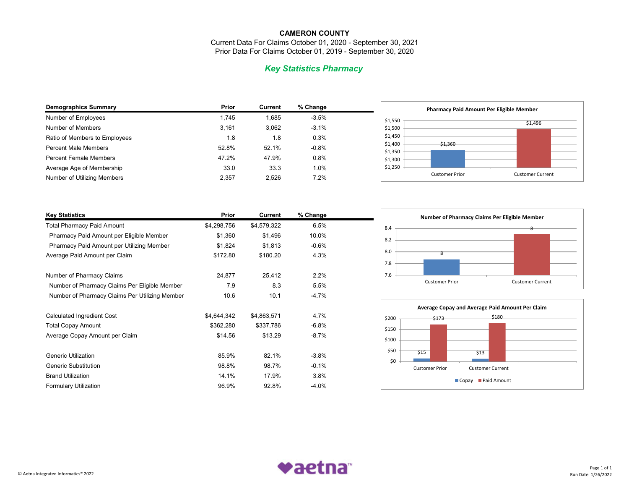Current Data For Claims October 01, 2020 - September 30, 2021 Prior Data For Claims October 01, 2019 - September 30, 2020

# *Key Statistics Pharmacy*

| <b>Demographics Summary</b>   | Prior | <b>Current</b> | % Change |  |
|-------------------------------|-------|----------------|----------|--|
| Number of Employees           | 1.745 | 1.685          | $-3.5%$  |  |
| Number of Members             | 3.161 | 3,062          | $-3.1%$  |  |
| Ratio of Members to Employees | 1.8   | 1.8            | 0.3%     |  |
| <b>Percent Male Members</b>   | 52.8% | 52.1%          | $-0.8%$  |  |
| <b>Percent Female Members</b> | 47.2% | 47.9%          | 0.8%     |  |
| Average Age of Membership     | 33.0  | 33.3           | 1.0%     |  |
| Number of Utilizing Members   | 2,357 | 2.526          | 7.2%     |  |
|                               |       |                |          |  |



| <b>Key Statistics</b>                          | Prior       | Current     | % Change |  |
|------------------------------------------------|-------------|-------------|----------|--|
| <b>Total Pharmacy Paid Amount</b>              | \$4,298,756 | \$4,579,322 | 6.5%     |  |
| Pharmacy Paid Amount per Eligible Member       | \$1,360     | \$1,496     | 10.0%    |  |
| Pharmacy Paid Amount per Utilizing Member      | \$1,824     | \$1,813     | $-0.6%$  |  |
| Average Paid Amount per Claim                  | \$172.80    | \$180.20    | 4.3%     |  |
| Number of Pharmacy Claims                      | 24,877      | 25,412      | 2.2%     |  |
| Number of Pharmacy Claims Per Eligible Member  | 7.9         | 8.3         | 5.5%     |  |
| Number of Pharmacy Claims Per Utilizing Member | 10.6        | 10.1        | $-4.7%$  |  |
| Calculated Ingredient Cost                     | \$4,644,342 | \$4,863,571 | 4.7%     |  |
| <b>Total Copay Amount</b>                      | \$362,280   | \$337,786   | $-6.8%$  |  |
| Average Copay Amount per Claim                 | \$14.56     | \$13.29     | $-8.7\%$ |  |
| <b>Generic Utilization</b>                     | 85.9%       | 82.1%       | $-3.8%$  |  |
| <b>Generic Substitution</b>                    | 98.8%       | 98.7%       | $-0.1%$  |  |
| <b>Brand Utilization</b>                       | 14.1%       | 17.9%       | 3.8%     |  |
| <b>Formulary Utilization</b>                   | 96.9%       | 92.8%       | $-4.0%$  |  |





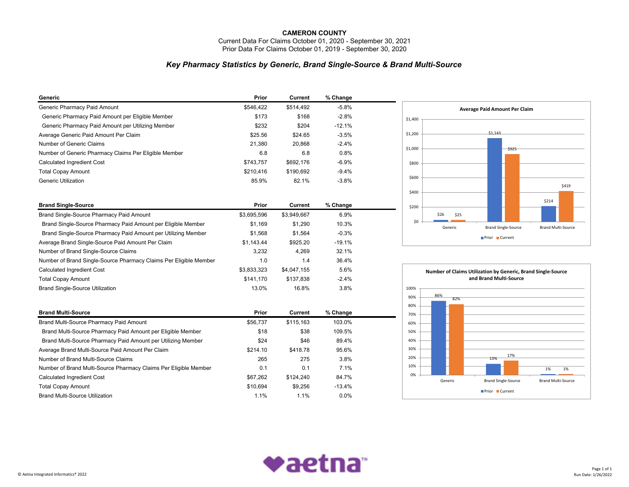Current Data For Claims October 01, 2020 - September 30, 2021 Prior Data For Claims October 01, 2019 - September 30, 2020

### *Key Pharmacy Statistics by Generic, Brand Single-Source & Brand Multi-Source*

| Generic                                                           | Prior       | Current        | % Change |  |
|-------------------------------------------------------------------|-------------|----------------|----------|--|
| Generic Pharmacy Paid Amount                                      | \$546,422   | \$514,492      | $-5.8%$  |  |
| Generic Pharmacy Paid Amount per Eligible Member                  | \$173       | \$168          | $-2.8%$  |  |
| Generic Pharmacy Paid Amount per Utilizing Member                 | \$232       | \$204          | $-12.1%$ |  |
| Average Generic Paid Amount Per Claim                             | \$25.56     | \$24.65        | $-3.5%$  |  |
| Number of Generic Claims                                          | 21,380      | 20,868         | $-2.4%$  |  |
| Number of Generic Pharmacy Claims Per Eligible Member             | 6.8         | 6.8            | 0.8%     |  |
| Calculated Ingredient Cost                                        | \$743,757   | \$692,176      | $-6.9%$  |  |
| <b>Total Copay Amount</b>                                         | \$210,416   | \$190,692      | $-9.4%$  |  |
| <b>Generic Utilization</b>                                        | 85.9%       | 82.1%          | $-3.8%$  |  |
| <b>Brand Single-Source</b>                                        | Prior       | <b>Current</b> | % Change |  |
| Brand Single-Source Pharmacy Paid Amount                          | \$3,695,596 | \$3,949,667    | 6.9%     |  |
| Brand Single-Source Pharmacy Paid Amount per Eligible Member      | \$1,169     | \$1,290        | 10.3%    |  |
| Brand Single-Source Pharmacy Paid Amount per Utilizing Member     | \$1,568     | \$1,564        | $-0.3%$  |  |
| Average Brand Single-Source Paid Amount Per Claim                 | \$1,143.44  | \$925.20       | $-19.1%$ |  |
| Number of Brand Single-Source Claims                              | 3,232       | 4,269          | 32.1%    |  |
| Number of Brand Single-Source Pharmacy Claims Per Eligible Member | 1.0         | 1.4            | 36.4%    |  |
| Calculated Ingredient Cost                                        | \$3,833,323 | \$4,047,155    | 5.6%     |  |
| <b>Total Copay Amount</b>                                         | \$141,170   | \$137,838      | $-2.4%$  |  |
| <b>Brand Single-Source Utilization</b>                            | 13.0%       | 16.8%          | 3.8%     |  |
|                                                                   |             |                |          |  |
| <b>Brand Multi-Source</b>                                         | Prior       | Current        | % Change |  |
| Brand Multi-Source Pharmacy Paid Amount                           | \$56,737    | \$115,163      | 103.0%   |  |
| Brand Multi-Source Pharmacy Paid Amount per Eligible Member       | \$18        | \$38           | 109.5%   |  |
| Brand Multi-Source Pharmacy Paid Amount per Utilizing Member      | \$24        | \$46           | 89.4%    |  |
| Average Brand Multi-Source Paid Amount Per Claim                  | \$214.10    | \$418.78       | 95.6%    |  |
| Number of Brand Multi-Source Claims                               | 265         | 275            | 3.8%     |  |
| Number of Brand Multi-Source Pharmacy Claims Per Eligible Member  | 0.1         | 0.1            | 7.1%     |  |
| Calculated Ingredient Cost                                        | \$67,262    | \$124,240      | 84.7%    |  |
| <b>Total Copay Amount</b>                                         | \$10,694    | \$9,256        | $-13.4%$ |  |
| <b>Brand Multi-Source Utilization</b>                             | 1.1%        | 1.1%           | 0.0%     |  |





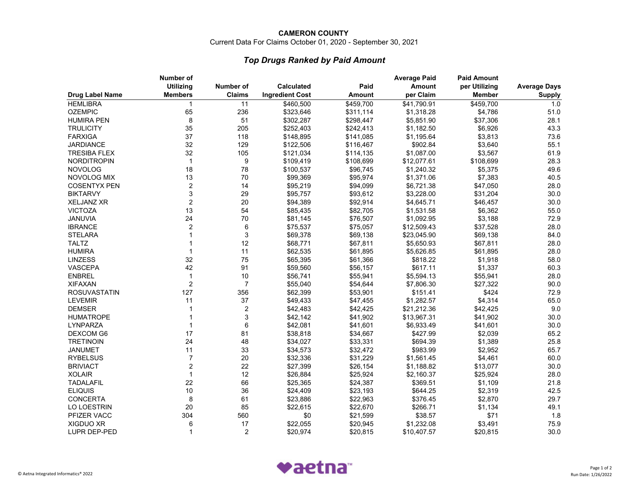Current Data For Claims October 01, 2020 - September 30, 2021

# *Top Drugs Ranked by Paid Amount*

|                        | Number of        |                |                        |               | <b>Average Paid</b> | <b>Paid Amount</b> |                     |
|------------------------|------------------|----------------|------------------------|---------------|---------------------|--------------------|---------------------|
|                        | <b>Utilizing</b> | Number of      | <b>Calculated</b>      | Paid          | <b>Amount</b>       | per Utilizing      | <b>Average Days</b> |
| <b>Drug Label Name</b> | <b>Members</b>   | <b>Claims</b>  | <b>Ingredient Cost</b> | <b>Amount</b> | per Claim           | <b>Member</b>      | <b>Supply</b>       |
| <b>HEMLIBRA</b>        | $\mathbf{1}$     | 11             | \$460,500              | \$459,700     | \$41,790.91         | \$459,700          | 1.0                 |
| <b>OZEMPIC</b>         | 65               | 236            | \$323,646              | \$311,114     | \$1,318.28          | \$4,786            | 51.0                |
| <b>HUMIRA PEN</b>      | 8                | 51             | \$302,287              | \$298,447     | \$5,851.90          | \$37,306           | 28.1                |
| <b>TRULICITY</b>       | 35               | 205            | \$252,403              | \$242,413     | \$1,182.50          | \$6,926            | 43.3                |
| <b>FARXIGA</b>         | 37               | 118            | \$148,895              | \$141,085     | \$1,195.64          | \$3,813            | 73.6                |
| <b>JARDIANCE</b>       | 32               | 129            | \$122,506              | \$116,467     | \$902.84            | \$3,640            | 55.1                |
| <b>TRESIBA FLEX</b>    | 32               | 105            | \$121,034              | \$114,135     | \$1,087.00          | \$3,567            | 61.9                |
| <b>NORDITROPIN</b>     | $\overline{1}$   | 9              | \$109,419              | \$108,699     | \$12,077.61         | \$108,699          | 28.3                |
| <b>NOVOLOG</b>         | 18               | 78             | \$100,537              | \$96,745      | \$1,240.32          | \$5,375            | 49.6                |
| NOVOLOG MIX            | 13               | 70             | \$99,369               | \$95,974      | \$1,371.06          | \$7,383            | 40.5                |
| <b>COSENTYX PEN</b>    | $\overline{2}$   | 14             | \$95,219               | \$94,099      | \$6,721.38          | \$47,050           | 28.0                |
| <b>BIKTARVY</b>        | 3                | 29             | \$95,757               | \$93,612      | \$3,228.00          | \$31,204           | 30.0                |
| <b>XELJANZ XR</b>      | $\overline{2}$   | 20             | \$94,389               | \$92,914      | \$4,645.71          | \$46,457           | 30.0                |
| <b>VICTOZA</b>         | 13               | 54             | \$85,435               | \$82,705      | \$1,531.58          | \$6,362            | 55.0                |
| JANUVIA                | 24               | $70\,$         | \$81,145               | \$76,507      | \$1,092.95          | \$3,188            | 72.9                |
| <b>IBRANCE</b>         | $\overline{2}$   | 6              | \$75,537               | \$75,057      | \$12,509.43         | \$37,528           | 28.0                |
| <b>STELARA</b>         | 1                | $\mathfrak{B}$ | \$69,378               | \$69,138      | \$23,045.90         | \$69,138           | 84.0                |
| <b>TALTZ</b>           |                  | 12             | \$68,771               | \$67,811      | \$5,650.93          | \$67,811           | 28.0                |
| <b>HUMIRA</b>          | $\mathbf 1$      | 11             | \$62,535               | \$61,895      | \$5,626.85          | \$61,895           | 28.0                |
| <b>LINZESS</b>         | 32               | 75             | \$65,395               | \$61,366      | \$818.22            | \$1,918            | 58.0                |
| VASCEPA                | 42               | 91             | \$59,560               | \$56,157      | \$617.11            | \$1,337            | 60.3                |
| <b>ENBREL</b>          | $\mathbf 1$      | 10             | \$56,741               | \$55,941      | \$5,594.13          | \$55,941           | 28.0                |
| <b>XIFAXAN</b>         | $\overline{2}$   | $\overline{7}$ | \$55,040               | \$54,644      | \$7,806.30          | \$27,322           | 90.0                |
| <b>ROSUVASTATIN</b>    | 127              | 356            | \$62,399               | \$53,901      | \$151.41            | \$424              | 72.9                |
| <b>LEVEMIR</b>         | 11               | 37             | \$49,433               | \$47,455      | \$1,282.57          | \$4,314            | 65.0                |
| <b>DEMSER</b>          | 1                | $\overline{2}$ | \$42,483               | \$42,425      | \$21,212.36         | \$42,425           | 9.0                 |
| <b>HUMATROPE</b>       | 1                | 3              | \$42,142               | \$41,902      | \$13,967.31         | \$41,902           | 30.0                |
| LYNPARZA               | 1                | 6              | \$42,081               | \$41,601      | \$6,933.49          | \$41,601           | 30.0                |
| <b>DEXCOM G6</b>       | 17               | 81             | \$38,818               | \$34,667      | \$427.99            | \$2,039            | 65.2                |
| <b>TRETINOIN</b>       | 24               | 48             | \$34,027               | \$33,331      | \$694.39            | \$1,389            | 25.8                |
| <b>JANUMET</b>         | 11               | 33             | \$34,573               | \$32,472      | \$983.99            | \$2,952            | 65.7                |
| <b>RYBELSUS</b>        | $\overline{7}$   | 20             | \$32,336               | \$31,229      | \$1,561.45          | \$4,461            | 60.0                |
| <b>BRIVIACT</b>        | $\overline{2}$   | 22             | \$27,399               | \$26,154      | \$1,188.82          | \$13,077           | 30.0                |
| <b>XOLAIR</b>          | $\mathbf{1}$     | 12             | \$26,884               | \$25,924      | \$2,160.37          | \$25,924           | 28.0                |
| <b>TADALAFIL</b>       | 22               | 66             | \$25,365               | \$24,387      | \$369.51            | \$1,109            | 21.8                |
| <b>ELIQUIS</b>         | 10               | 36             | \$24,409               | \$23,193      | \$644.25            | \$2,319            | 42.5                |
| CONCERTA               | 8                | 61             | \$23,886               | \$22,963      | \$376.45            | \$2,870            | 29.7                |
| <b>LO LOESTRIN</b>     | 20               | 85             | \$22,615               | \$22,670      | \$266.71            | \$1,134            | 49.1                |
| PFIZER VACC            | 304              | 560            | \$0                    | \$21,599      | \$38.57             | \$71               | 1.8                 |
| <b>XIGDUO XR</b>       | 6                | 17             | \$22,055               | \$20,945      | \$1,232.08          | \$3,491            | 75.9                |
| LUPR DEP-PED           | $\mathbf{1}$     | 2              | \$20,974               | \$20,815      | \$10,407.57         | \$20,815           | 30.0                |
|                        |                  |                |                        |               |                     |                    |                     |

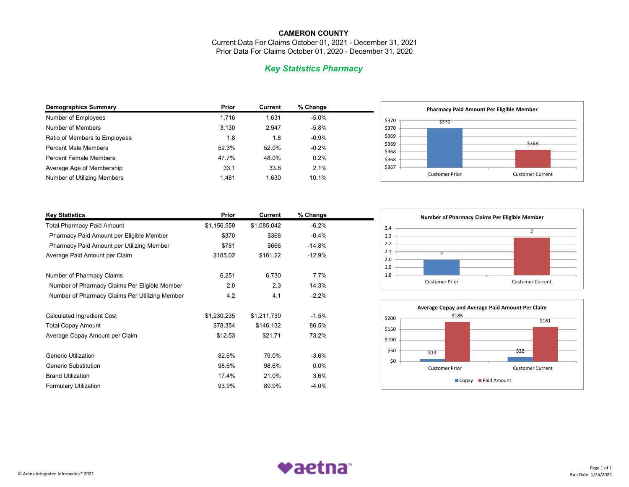Current Data For Claims October 01, 2021 - December 31, 2021 Prior Data For Claims October 01, 2020 - December 31, 2020

# *Key Statistics Pharmacy*

| <b>Demographics Summary</b>   | Prior | <b>Current</b> | % Change |  |
|-------------------------------|-------|----------------|----------|--|
| Number of Employees           | 1.716 | 1.631          | $-5.0%$  |  |
| Number of Members             | 3.130 | 2.947          | $-5.8%$  |  |
| Ratio of Members to Employees | 1.8   | 1.8            | $-0.9%$  |  |
| <b>Percent Male Members</b>   | 52.3% | 52.0%          | $-0.2%$  |  |
| <b>Percent Female Members</b> | 47.7% | 48.0%          | 0.2%     |  |
| Average Age of Membership     | 33.1  | 33.8           | 2.1%     |  |
| Number of Utilizing Members   | 1.481 | 1,630          | 10.1%    |  |



| <b>Key Statistics</b>                          | Prior       | <b>Current</b> | % Change |  |
|------------------------------------------------|-------------|----------------|----------|--|
| <b>Total Pharmacy Paid Amount</b>              | \$1,156,559 | \$1,085,042    | $-6.2%$  |  |
| Pharmacy Paid Amount per Eligible Member       | \$370       | \$368          | $-0.4%$  |  |
| Pharmacy Paid Amount per Utilizing Member      | \$781       | \$666          | $-14.8%$ |  |
| Average Paid Amount per Claim                  | \$185.02    | \$161.22       | $-12.9%$ |  |
| Number of Pharmacy Claims                      | 6,251       | 6,730          | 7.7%     |  |
| Number of Pharmacy Claims Per Eligible Member  | 2.0         | 2.3            | 14.3%    |  |
| Number of Pharmacy Claims Per Utilizing Member | 4.2         | 4.1            | $-2.2\%$ |  |
| Calculated Ingredient Cost                     | \$1,230,235 | \$1,211,739    | $-1.5%$  |  |
| <b>Total Copay Amount</b>                      | \$78,354    | \$146,132      | 86.5%    |  |
| Average Copay Amount per Claim                 | \$12.53     | \$21.71        | 73.2%    |  |
| <b>Generic Utilization</b>                     | 82.6%       | 79.0%          | $-3.6%$  |  |
| <b>Generic Substitution</b>                    | 98.6%       | 98.6%          | $0.0\%$  |  |
| <b>Brand Utilization</b>                       | 17.4%       | 21.0%          | 3.6%     |  |
| <b>Formulary Utilization</b>                   | 93.9%       | 89.9%          | $-4.0%$  |  |





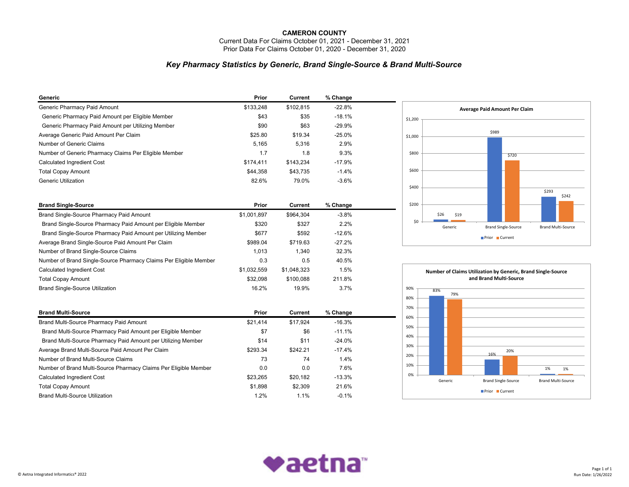Current Data For Claims October 01, 2021 - December 31, 2021 Prior Data For Claims October 01, 2020 - December 31, 2020

### *Key Pharmacy Statistics by Generic, Brand Single-Source & Brand Multi-Source*

| Generic                                                           | Prior       | Current     | % Change |  |
|-------------------------------------------------------------------|-------------|-------------|----------|--|
| Generic Pharmacy Paid Amount                                      | \$133,248   | \$102,815   | $-22.8%$ |  |
| Generic Pharmacy Paid Amount per Eligible Member                  | \$43        | \$35        | $-18.1%$ |  |
| Generic Pharmacy Paid Amount per Utilizing Member                 | \$90        | \$63        | $-29.9%$ |  |
| Average Generic Paid Amount Per Claim                             | \$25.80     | \$19.34     | $-25.0%$ |  |
| Number of Generic Claims                                          | 5,165       | 5,316       | 2.9%     |  |
| Number of Generic Pharmacy Claims Per Eligible Member             | 1.7         | 1.8         | 9.3%     |  |
| Calculated Ingredient Cost                                        | \$174,411   | \$143,234   | $-17.9%$ |  |
| <b>Total Copay Amount</b>                                         | \$44,358    | \$43,735    | $-1.4%$  |  |
| <b>Generic Utilization</b>                                        | 82.6%       | 79.0%       | $-3.6%$  |  |
|                                                                   |             |             |          |  |
| <b>Brand Single-Source</b>                                        | Prior       | Current     | % Change |  |
| Brand Single-Source Pharmacy Paid Amount                          | \$1,001,897 | \$964,304   | $-3.8%$  |  |
| Brand Single-Source Pharmacy Paid Amount per Eligible Member      | \$320       | \$327       | 2.2%     |  |
| Brand Single-Source Pharmacy Paid Amount per Utilizing Member     | \$677       | \$592       | $-12.6%$ |  |
| Average Brand Single-Source Paid Amount Per Claim                 | \$989.04    | \$719.63    | $-27.2%$ |  |
| Number of Brand Single-Source Claims                              | 1,013       | 1,340       | 32.3%    |  |
| Number of Brand Single-Source Pharmacy Claims Per Eligible Member | 0.3         | 0.5         | 40.5%    |  |
| <b>Calculated Ingredient Cost</b>                                 | \$1,032,559 | \$1,048,323 | 1.5%     |  |
| <b>Total Copay Amount</b>                                         | \$32,098    | \$100,088   | 211.8%   |  |
| <b>Brand Single-Source Utilization</b>                            | 16.2%       | 19.9%       | 3.7%     |  |
| <b>Brand Multi-Source</b>                                         | Prior       |             |          |  |
|                                                                   |             | Current     | % Change |  |
| Brand Multi-Source Pharmacy Paid Amount                           | \$21,414    | \$17,924    | $-16.3%$ |  |
| Brand Multi-Source Pharmacy Paid Amount per Eligible Member       | \$7         | \$6         | $-11.1%$ |  |
| Brand Multi-Source Pharmacy Paid Amount per Utilizing Member      | \$14        | \$11        | $-24.0%$ |  |
| Average Brand Multi-Source Paid Amount Per Claim                  | \$293.34    | \$242.21    | $-17.4%$ |  |
| Number of Brand Multi-Source Claims                               | 73          | 74          | 1.4%     |  |
| Number of Brand Multi-Source Pharmacy Claims Per Eligible Member  | 0.0         | 0.0         | 7.6%     |  |
| Calculated Ingredient Cost                                        | \$23,265    | \$20,182    | $-13.3%$ |  |
| <b>Total Copay Amount</b>                                         | \$1,898     | \$2,309     | 21.6%    |  |
| <b>Brand Multi-Source Utilization</b>                             | 1.2%        | 1.1%        | $-0.1%$  |  |





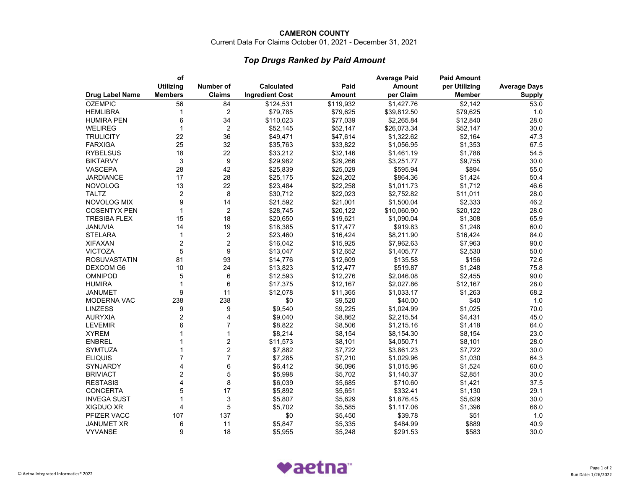Current Data For Claims October 01, 2021 - December 31, 2021

# *Top Drugs Ranked by Paid Amount*

| <b>Utilizing</b><br>Number of<br><b>Calculated</b><br>Paid<br><b>Amount</b><br>per Utilizing<br><b>Average Days</b><br><b>Members</b><br><b>Drug Label Name</b><br><b>Claims</b><br><b>Ingredient Cost</b><br><b>Amount</b><br>per Claim<br><b>Member</b><br><b>Supply</b><br>\$119,932<br>\$1,427.76<br>$\overline{$}2,142$<br>56<br>84<br>\$124,531<br>53.0<br>$\overline{c}$<br>\$79,785<br>\$79,625<br>\$79,625<br><b>HEMLIBRA</b><br>1<br>\$39,812.50<br>1.0<br>6<br>28.0<br>34<br>\$77,039<br>\$2,265.84<br><b>HUMIRA PEN</b><br>\$110,023<br>\$12,840<br>$\overline{2}$<br>$\mathbf 1$<br>\$52,147<br>30.0<br>WELIREG<br>\$52,145<br>\$52,147<br>\$26,073.34<br>22<br>36<br>\$47,614<br>\$1,322.62<br>\$2,164<br><b>TRULICITY</b><br>\$49,471<br>47.3<br>25<br>32<br>67.5<br><b>FARXIGA</b><br>\$35,763<br>\$33,822<br>\$1,056.95<br>\$1,353<br>22<br><b>RYBELSUS</b><br>18<br>\$33,212<br>\$32,146<br>\$1,786<br>54.5<br>\$1,461.19<br>$\ensuremath{\mathsf{3}}$<br>9<br>30.0<br><b>BIKTARVY</b><br>\$29,982<br>\$29,266<br>\$3,251.77<br>\$9,755<br>28<br>42<br>\$25,839<br>\$25,029<br>\$595.94<br>\$894<br>55.0<br><b>VASCEPA</b><br>28<br>17<br>\$25,175<br>\$24,202<br>\$864.36<br>\$1,424<br>50.4<br>JARDIANCE<br>13<br>22<br>46.6<br>\$23,484<br>\$22,258<br>\$1,011.73<br>\$1,712<br>$\overline{c}$<br>8<br><b>TALTZ</b><br>\$30,712<br>\$22,023<br>\$2,752.82<br>\$11,011<br>28.0<br>9<br>14<br>\$1,500.04<br>NOVOLOG MIX<br>\$21,592<br>\$21,001<br>\$2,333<br>46.2<br>$\overline{2}$<br><b>COSENTYX PEN</b><br>$\mathbf 1$<br>\$28,745<br>\$20,122<br>\$10,060.90<br>\$20,122<br>28.0<br><b>TRESIBA FLEX</b><br>15<br>18<br>\$20,650<br>\$19,621<br>\$1,090.04<br>\$1,308<br>65.9<br>19<br>60.0<br>JANUVIA<br>14<br>\$18,385<br>\$17,477<br>\$919.83<br>\$1,248<br>$\overline{c}$<br><b>STELARA</b><br>$\mathbf 1$<br>\$23,460<br>\$16,424<br>\$8,211.90<br>\$16,424<br>84.0<br>$\overline{2}$<br>$\overline{2}$<br><b>XIFAXAN</b><br>\$7,963<br>90.0<br>\$16,042<br>\$15,925<br>\$7,962.63<br><b>VICTOZA</b><br>5<br>9<br>50.0<br>\$13,047<br>\$12,652<br>\$1,405.77<br>\$2,530<br>93<br>81<br>\$12,609<br>72.6<br><b>ROSUVASTATIN</b><br>\$14,776<br>\$135.58<br>\$156<br>10<br>24<br>75.8<br><b>DEXCOM G6</b><br>\$13,823<br>\$12,477<br>\$519.87<br>\$1,248<br>5<br>6<br><b>OMNIPOD</b><br>\$12,593<br>\$12,276<br>\$2,046.08<br>\$2,455<br>90.0<br>6<br>\$17,375<br>\$12,167<br>\$2,027.86<br>28.0<br><b>HUMIRA</b><br>\$12,167<br>1<br>9<br>11<br>68.2<br>JANUMET<br>\$12,078<br>\$11,365<br>\$1,033.17<br>\$1,263<br>238<br>\$0<br>\$9,520<br>\$40.00<br>\$40<br>1.0<br><b>MODERNA VAC</b><br>238<br><b>LINZESS</b><br>9<br>9<br>\$9,540<br>\$9,225<br>\$1,024.99<br>\$1,025<br>70.0<br>$\overline{c}$<br><b>AURYXIA</b><br>4<br>\$9,040<br>\$8,862<br>\$2,215.54<br>\$4,431<br>45.0<br>$\overline{7}$<br>6<br><b>LEVEMIR</b><br>\$8,822<br>\$8,506<br>\$1,215.16<br>\$1,418<br>64.0<br><b>XYREM</b><br>$\mathbf{1}$<br>\$8,214<br>\$8,154<br>\$8,154.30<br>23.0<br>1<br>\$8,154<br>$\overline{c}$<br><b>ENBREL</b><br>\$11,573<br>\$8,101<br>\$4,050.71<br>\$8,101<br>28.0<br>$\overline{\mathbf{c}}$<br>30.0<br><b>SYMTUZA</b><br>\$7,882<br>\$7,722<br>\$3,861.23<br>\$7,722<br>1<br>$\overline{7}$<br>$\overline{7}$<br>\$7,285<br>\$7,210<br>\$1,030<br>64.3<br><b>ELIQUIS</b><br>\$1,029.96<br>6<br>4<br>\$6,412<br>60.0<br>\$6,096<br>\$1,015.96<br>SYNJARDY<br>\$1,524<br>$\overline{c}$<br>5<br>30.0<br>\$5,998<br>\$5,702<br>\$2,851<br><b>BRIVIACT</b><br>\$1,140.37<br>4<br>8<br><b>RESTASIS</b><br>\$6,039<br>\$5,685<br>37.5<br>\$710.60<br>\$1,421<br>5<br>17<br><b>CONCERTA</b><br>\$5,892<br>\$5,651<br>\$332.41<br>29.1<br>\$1,130<br>3<br><b>INVEGA SUST</b><br>1<br>\$5,807<br>\$5,629<br>\$1,876.45<br>\$5,629<br>30.0<br>5<br>4<br>66.0<br><b>XIGDUO XR</b><br>\$5,702<br>\$5,585<br>\$1,117.06<br>\$1,396<br>107<br>\$51<br>PFIZER VACC<br>137<br>\$0<br>\$5,450<br>\$39.78<br>1.0 |                | οf |  | <b>Average Paid</b> | <b>Paid Amount</b> |  |
|-------------------------------------------------------------------------------------------------------------------------------------------------------------------------------------------------------------------------------------------------------------------------------------------------------------------------------------------------------------------------------------------------------------------------------------------------------------------------------------------------------------------------------------------------------------------------------------------------------------------------------------------------------------------------------------------------------------------------------------------------------------------------------------------------------------------------------------------------------------------------------------------------------------------------------------------------------------------------------------------------------------------------------------------------------------------------------------------------------------------------------------------------------------------------------------------------------------------------------------------------------------------------------------------------------------------------------------------------------------------------------------------------------------------------------------------------------------------------------------------------------------------------------------------------------------------------------------------------------------------------------------------------------------------------------------------------------------------------------------------------------------------------------------------------------------------------------------------------------------------------------------------------------------------------------------------------------------------------------------------------------------------------------------------------------------------------------------------------------------------------------------------------------------------------------------------------------------------------------------------------------------------------------------------------------------------------------------------------------------------------------------------------------------------------------------------------------------------------------------------------------------------------------------------------------------------------------------------------------------------------------------------------------------------------------------------------------------------------------------------------------------------------------------------------------------------------------------------------------------------------------------------------------------------------------------------------------------------------------------------------------------------------------------------------------------------------------------------------------------------------------------------------------------------------------------------------------------------------------------------------------------------------------------------------------------------------------------------------------------------------------------------------------------------------------------------------------------------------------------------------------------------------------------------------------------------------------------------------------------------------------------------------------------------------------------------------------------------------------------------------------------------------------------------------------------------------------------------------------------------------------------------------------------------------------------|----------------|----|--|---------------------|--------------------|--|
|                                                                                                                                                                                                                                                                                                                                                                                                                                                                                                                                                                                                                                                                                                                                                                                                                                                                                                                                                                                                                                                                                                                                                                                                                                                                                                                                                                                                                                                                                                                                                                                                                                                                                                                                                                                                                                                                                                                                                                                                                                                                                                                                                                                                                                                                                                                                                                                                                                                                                                                                                                                                                                                                                                                                                                                                                                                                                                                                                                                                                                                                                                                                                                                                                                                                                                                                                                                                                                                                                                                                                                                                                                                                                                                                                                                                                                                                                                                                     |                |    |  |                     |                    |  |
|                                                                                                                                                                                                                                                                                                                                                                                                                                                                                                                                                                                                                                                                                                                                                                                                                                                                                                                                                                                                                                                                                                                                                                                                                                                                                                                                                                                                                                                                                                                                                                                                                                                                                                                                                                                                                                                                                                                                                                                                                                                                                                                                                                                                                                                                                                                                                                                                                                                                                                                                                                                                                                                                                                                                                                                                                                                                                                                                                                                                                                                                                                                                                                                                                                                                                                                                                                                                                                                                                                                                                                                                                                                                                                                                                                                                                                                                                                                                     |                |    |  |                     |                    |  |
|                                                                                                                                                                                                                                                                                                                                                                                                                                                                                                                                                                                                                                                                                                                                                                                                                                                                                                                                                                                                                                                                                                                                                                                                                                                                                                                                                                                                                                                                                                                                                                                                                                                                                                                                                                                                                                                                                                                                                                                                                                                                                                                                                                                                                                                                                                                                                                                                                                                                                                                                                                                                                                                                                                                                                                                                                                                                                                                                                                                                                                                                                                                                                                                                                                                                                                                                                                                                                                                                                                                                                                                                                                                                                                                                                                                                                                                                                                                                     | <b>OZEMPIC</b> |    |  |                     |                    |  |
|                                                                                                                                                                                                                                                                                                                                                                                                                                                                                                                                                                                                                                                                                                                                                                                                                                                                                                                                                                                                                                                                                                                                                                                                                                                                                                                                                                                                                                                                                                                                                                                                                                                                                                                                                                                                                                                                                                                                                                                                                                                                                                                                                                                                                                                                                                                                                                                                                                                                                                                                                                                                                                                                                                                                                                                                                                                                                                                                                                                                                                                                                                                                                                                                                                                                                                                                                                                                                                                                                                                                                                                                                                                                                                                                                                                                                                                                                                                                     |                |    |  |                     |                    |  |
|                                                                                                                                                                                                                                                                                                                                                                                                                                                                                                                                                                                                                                                                                                                                                                                                                                                                                                                                                                                                                                                                                                                                                                                                                                                                                                                                                                                                                                                                                                                                                                                                                                                                                                                                                                                                                                                                                                                                                                                                                                                                                                                                                                                                                                                                                                                                                                                                                                                                                                                                                                                                                                                                                                                                                                                                                                                                                                                                                                                                                                                                                                                                                                                                                                                                                                                                                                                                                                                                                                                                                                                                                                                                                                                                                                                                                                                                                                                                     |                |    |  |                     |                    |  |
|                                                                                                                                                                                                                                                                                                                                                                                                                                                                                                                                                                                                                                                                                                                                                                                                                                                                                                                                                                                                                                                                                                                                                                                                                                                                                                                                                                                                                                                                                                                                                                                                                                                                                                                                                                                                                                                                                                                                                                                                                                                                                                                                                                                                                                                                                                                                                                                                                                                                                                                                                                                                                                                                                                                                                                                                                                                                                                                                                                                                                                                                                                                                                                                                                                                                                                                                                                                                                                                                                                                                                                                                                                                                                                                                                                                                                                                                                                                                     |                |    |  |                     |                    |  |
|                                                                                                                                                                                                                                                                                                                                                                                                                                                                                                                                                                                                                                                                                                                                                                                                                                                                                                                                                                                                                                                                                                                                                                                                                                                                                                                                                                                                                                                                                                                                                                                                                                                                                                                                                                                                                                                                                                                                                                                                                                                                                                                                                                                                                                                                                                                                                                                                                                                                                                                                                                                                                                                                                                                                                                                                                                                                                                                                                                                                                                                                                                                                                                                                                                                                                                                                                                                                                                                                                                                                                                                                                                                                                                                                                                                                                                                                                                                                     |                |    |  |                     |                    |  |
|                                                                                                                                                                                                                                                                                                                                                                                                                                                                                                                                                                                                                                                                                                                                                                                                                                                                                                                                                                                                                                                                                                                                                                                                                                                                                                                                                                                                                                                                                                                                                                                                                                                                                                                                                                                                                                                                                                                                                                                                                                                                                                                                                                                                                                                                                                                                                                                                                                                                                                                                                                                                                                                                                                                                                                                                                                                                                                                                                                                                                                                                                                                                                                                                                                                                                                                                                                                                                                                                                                                                                                                                                                                                                                                                                                                                                                                                                                                                     |                |    |  |                     |                    |  |
|                                                                                                                                                                                                                                                                                                                                                                                                                                                                                                                                                                                                                                                                                                                                                                                                                                                                                                                                                                                                                                                                                                                                                                                                                                                                                                                                                                                                                                                                                                                                                                                                                                                                                                                                                                                                                                                                                                                                                                                                                                                                                                                                                                                                                                                                                                                                                                                                                                                                                                                                                                                                                                                                                                                                                                                                                                                                                                                                                                                                                                                                                                                                                                                                                                                                                                                                                                                                                                                                                                                                                                                                                                                                                                                                                                                                                                                                                                                                     |                |    |  |                     |                    |  |
|                                                                                                                                                                                                                                                                                                                                                                                                                                                                                                                                                                                                                                                                                                                                                                                                                                                                                                                                                                                                                                                                                                                                                                                                                                                                                                                                                                                                                                                                                                                                                                                                                                                                                                                                                                                                                                                                                                                                                                                                                                                                                                                                                                                                                                                                                                                                                                                                                                                                                                                                                                                                                                                                                                                                                                                                                                                                                                                                                                                                                                                                                                                                                                                                                                                                                                                                                                                                                                                                                                                                                                                                                                                                                                                                                                                                                                                                                                                                     |                |    |  |                     |                    |  |
|                                                                                                                                                                                                                                                                                                                                                                                                                                                                                                                                                                                                                                                                                                                                                                                                                                                                                                                                                                                                                                                                                                                                                                                                                                                                                                                                                                                                                                                                                                                                                                                                                                                                                                                                                                                                                                                                                                                                                                                                                                                                                                                                                                                                                                                                                                                                                                                                                                                                                                                                                                                                                                                                                                                                                                                                                                                                                                                                                                                                                                                                                                                                                                                                                                                                                                                                                                                                                                                                                                                                                                                                                                                                                                                                                                                                                                                                                                                                     |                |    |  |                     |                    |  |
|                                                                                                                                                                                                                                                                                                                                                                                                                                                                                                                                                                                                                                                                                                                                                                                                                                                                                                                                                                                                                                                                                                                                                                                                                                                                                                                                                                                                                                                                                                                                                                                                                                                                                                                                                                                                                                                                                                                                                                                                                                                                                                                                                                                                                                                                                                                                                                                                                                                                                                                                                                                                                                                                                                                                                                                                                                                                                                                                                                                                                                                                                                                                                                                                                                                                                                                                                                                                                                                                                                                                                                                                                                                                                                                                                                                                                                                                                                                                     |                |    |  |                     |                    |  |
|                                                                                                                                                                                                                                                                                                                                                                                                                                                                                                                                                                                                                                                                                                                                                                                                                                                                                                                                                                                                                                                                                                                                                                                                                                                                                                                                                                                                                                                                                                                                                                                                                                                                                                                                                                                                                                                                                                                                                                                                                                                                                                                                                                                                                                                                                                                                                                                                                                                                                                                                                                                                                                                                                                                                                                                                                                                                                                                                                                                                                                                                                                                                                                                                                                                                                                                                                                                                                                                                                                                                                                                                                                                                                                                                                                                                                                                                                                                                     | <b>NOVOLOG</b> |    |  |                     |                    |  |
|                                                                                                                                                                                                                                                                                                                                                                                                                                                                                                                                                                                                                                                                                                                                                                                                                                                                                                                                                                                                                                                                                                                                                                                                                                                                                                                                                                                                                                                                                                                                                                                                                                                                                                                                                                                                                                                                                                                                                                                                                                                                                                                                                                                                                                                                                                                                                                                                                                                                                                                                                                                                                                                                                                                                                                                                                                                                                                                                                                                                                                                                                                                                                                                                                                                                                                                                                                                                                                                                                                                                                                                                                                                                                                                                                                                                                                                                                                                                     |                |    |  |                     |                    |  |
|                                                                                                                                                                                                                                                                                                                                                                                                                                                                                                                                                                                                                                                                                                                                                                                                                                                                                                                                                                                                                                                                                                                                                                                                                                                                                                                                                                                                                                                                                                                                                                                                                                                                                                                                                                                                                                                                                                                                                                                                                                                                                                                                                                                                                                                                                                                                                                                                                                                                                                                                                                                                                                                                                                                                                                                                                                                                                                                                                                                                                                                                                                                                                                                                                                                                                                                                                                                                                                                                                                                                                                                                                                                                                                                                                                                                                                                                                                                                     |                |    |  |                     |                    |  |
|                                                                                                                                                                                                                                                                                                                                                                                                                                                                                                                                                                                                                                                                                                                                                                                                                                                                                                                                                                                                                                                                                                                                                                                                                                                                                                                                                                                                                                                                                                                                                                                                                                                                                                                                                                                                                                                                                                                                                                                                                                                                                                                                                                                                                                                                                                                                                                                                                                                                                                                                                                                                                                                                                                                                                                                                                                                                                                                                                                                                                                                                                                                                                                                                                                                                                                                                                                                                                                                                                                                                                                                                                                                                                                                                                                                                                                                                                                                                     |                |    |  |                     |                    |  |
|                                                                                                                                                                                                                                                                                                                                                                                                                                                                                                                                                                                                                                                                                                                                                                                                                                                                                                                                                                                                                                                                                                                                                                                                                                                                                                                                                                                                                                                                                                                                                                                                                                                                                                                                                                                                                                                                                                                                                                                                                                                                                                                                                                                                                                                                                                                                                                                                                                                                                                                                                                                                                                                                                                                                                                                                                                                                                                                                                                                                                                                                                                                                                                                                                                                                                                                                                                                                                                                                                                                                                                                                                                                                                                                                                                                                                                                                                                                                     |                |    |  |                     |                    |  |
|                                                                                                                                                                                                                                                                                                                                                                                                                                                                                                                                                                                                                                                                                                                                                                                                                                                                                                                                                                                                                                                                                                                                                                                                                                                                                                                                                                                                                                                                                                                                                                                                                                                                                                                                                                                                                                                                                                                                                                                                                                                                                                                                                                                                                                                                                                                                                                                                                                                                                                                                                                                                                                                                                                                                                                                                                                                                                                                                                                                                                                                                                                                                                                                                                                                                                                                                                                                                                                                                                                                                                                                                                                                                                                                                                                                                                                                                                                                                     |                |    |  |                     |                    |  |
|                                                                                                                                                                                                                                                                                                                                                                                                                                                                                                                                                                                                                                                                                                                                                                                                                                                                                                                                                                                                                                                                                                                                                                                                                                                                                                                                                                                                                                                                                                                                                                                                                                                                                                                                                                                                                                                                                                                                                                                                                                                                                                                                                                                                                                                                                                                                                                                                                                                                                                                                                                                                                                                                                                                                                                                                                                                                                                                                                                                                                                                                                                                                                                                                                                                                                                                                                                                                                                                                                                                                                                                                                                                                                                                                                                                                                                                                                                                                     |                |    |  |                     |                    |  |
|                                                                                                                                                                                                                                                                                                                                                                                                                                                                                                                                                                                                                                                                                                                                                                                                                                                                                                                                                                                                                                                                                                                                                                                                                                                                                                                                                                                                                                                                                                                                                                                                                                                                                                                                                                                                                                                                                                                                                                                                                                                                                                                                                                                                                                                                                                                                                                                                                                                                                                                                                                                                                                                                                                                                                                                                                                                                                                                                                                                                                                                                                                                                                                                                                                                                                                                                                                                                                                                                                                                                                                                                                                                                                                                                                                                                                                                                                                                                     |                |    |  |                     |                    |  |
|                                                                                                                                                                                                                                                                                                                                                                                                                                                                                                                                                                                                                                                                                                                                                                                                                                                                                                                                                                                                                                                                                                                                                                                                                                                                                                                                                                                                                                                                                                                                                                                                                                                                                                                                                                                                                                                                                                                                                                                                                                                                                                                                                                                                                                                                                                                                                                                                                                                                                                                                                                                                                                                                                                                                                                                                                                                                                                                                                                                                                                                                                                                                                                                                                                                                                                                                                                                                                                                                                                                                                                                                                                                                                                                                                                                                                                                                                                                                     |                |    |  |                     |                    |  |
|                                                                                                                                                                                                                                                                                                                                                                                                                                                                                                                                                                                                                                                                                                                                                                                                                                                                                                                                                                                                                                                                                                                                                                                                                                                                                                                                                                                                                                                                                                                                                                                                                                                                                                                                                                                                                                                                                                                                                                                                                                                                                                                                                                                                                                                                                                                                                                                                                                                                                                                                                                                                                                                                                                                                                                                                                                                                                                                                                                                                                                                                                                                                                                                                                                                                                                                                                                                                                                                                                                                                                                                                                                                                                                                                                                                                                                                                                                                                     |                |    |  |                     |                    |  |
|                                                                                                                                                                                                                                                                                                                                                                                                                                                                                                                                                                                                                                                                                                                                                                                                                                                                                                                                                                                                                                                                                                                                                                                                                                                                                                                                                                                                                                                                                                                                                                                                                                                                                                                                                                                                                                                                                                                                                                                                                                                                                                                                                                                                                                                                                                                                                                                                                                                                                                                                                                                                                                                                                                                                                                                                                                                                                                                                                                                                                                                                                                                                                                                                                                                                                                                                                                                                                                                                                                                                                                                                                                                                                                                                                                                                                                                                                                                                     |                |    |  |                     |                    |  |
|                                                                                                                                                                                                                                                                                                                                                                                                                                                                                                                                                                                                                                                                                                                                                                                                                                                                                                                                                                                                                                                                                                                                                                                                                                                                                                                                                                                                                                                                                                                                                                                                                                                                                                                                                                                                                                                                                                                                                                                                                                                                                                                                                                                                                                                                                                                                                                                                                                                                                                                                                                                                                                                                                                                                                                                                                                                                                                                                                                                                                                                                                                                                                                                                                                                                                                                                                                                                                                                                                                                                                                                                                                                                                                                                                                                                                                                                                                                                     |                |    |  |                     |                    |  |
|                                                                                                                                                                                                                                                                                                                                                                                                                                                                                                                                                                                                                                                                                                                                                                                                                                                                                                                                                                                                                                                                                                                                                                                                                                                                                                                                                                                                                                                                                                                                                                                                                                                                                                                                                                                                                                                                                                                                                                                                                                                                                                                                                                                                                                                                                                                                                                                                                                                                                                                                                                                                                                                                                                                                                                                                                                                                                                                                                                                                                                                                                                                                                                                                                                                                                                                                                                                                                                                                                                                                                                                                                                                                                                                                                                                                                                                                                                                                     |                |    |  |                     |                    |  |
|                                                                                                                                                                                                                                                                                                                                                                                                                                                                                                                                                                                                                                                                                                                                                                                                                                                                                                                                                                                                                                                                                                                                                                                                                                                                                                                                                                                                                                                                                                                                                                                                                                                                                                                                                                                                                                                                                                                                                                                                                                                                                                                                                                                                                                                                                                                                                                                                                                                                                                                                                                                                                                                                                                                                                                                                                                                                                                                                                                                                                                                                                                                                                                                                                                                                                                                                                                                                                                                                                                                                                                                                                                                                                                                                                                                                                                                                                                                                     |                |    |  |                     |                    |  |
|                                                                                                                                                                                                                                                                                                                                                                                                                                                                                                                                                                                                                                                                                                                                                                                                                                                                                                                                                                                                                                                                                                                                                                                                                                                                                                                                                                                                                                                                                                                                                                                                                                                                                                                                                                                                                                                                                                                                                                                                                                                                                                                                                                                                                                                                                                                                                                                                                                                                                                                                                                                                                                                                                                                                                                                                                                                                                                                                                                                                                                                                                                                                                                                                                                                                                                                                                                                                                                                                                                                                                                                                                                                                                                                                                                                                                                                                                                                                     |                |    |  |                     |                    |  |
|                                                                                                                                                                                                                                                                                                                                                                                                                                                                                                                                                                                                                                                                                                                                                                                                                                                                                                                                                                                                                                                                                                                                                                                                                                                                                                                                                                                                                                                                                                                                                                                                                                                                                                                                                                                                                                                                                                                                                                                                                                                                                                                                                                                                                                                                                                                                                                                                                                                                                                                                                                                                                                                                                                                                                                                                                                                                                                                                                                                                                                                                                                                                                                                                                                                                                                                                                                                                                                                                                                                                                                                                                                                                                                                                                                                                                                                                                                                                     |                |    |  |                     |                    |  |
|                                                                                                                                                                                                                                                                                                                                                                                                                                                                                                                                                                                                                                                                                                                                                                                                                                                                                                                                                                                                                                                                                                                                                                                                                                                                                                                                                                                                                                                                                                                                                                                                                                                                                                                                                                                                                                                                                                                                                                                                                                                                                                                                                                                                                                                                                                                                                                                                                                                                                                                                                                                                                                                                                                                                                                                                                                                                                                                                                                                                                                                                                                                                                                                                                                                                                                                                                                                                                                                                                                                                                                                                                                                                                                                                                                                                                                                                                                                                     |                |    |  |                     |                    |  |
|                                                                                                                                                                                                                                                                                                                                                                                                                                                                                                                                                                                                                                                                                                                                                                                                                                                                                                                                                                                                                                                                                                                                                                                                                                                                                                                                                                                                                                                                                                                                                                                                                                                                                                                                                                                                                                                                                                                                                                                                                                                                                                                                                                                                                                                                                                                                                                                                                                                                                                                                                                                                                                                                                                                                                                                                                                                                                                                                                                                                                                                                                                                                                                                                                                                                                                                                                                                                                                                                                                                                                                                                                                                                                                                                                                                                                                                                                                                                     |                |    |  |                     |                    |  |
|                                                                                                                                                                                                                                                                                                                                                                                                                                                                                                                                                                                                                                                                                                                                                                                                                                                                                                                                                                                                                                                                                                                                                                                                                                                                                                                                                                                                                                                                                                                                                                                                                                                                                                                                                                                                                                                                                                                                                                                                                                                                                                                                                                                                                                                                                                                                                                                                                                                                                                                                                                                                                                                                                                                                                                                                                                                                                                                                                                                                                                                                                                                                                                                                                                                                                                                                                                                                                                                                                                                                                                                                                                                                                                                                                                                                                                                                                                                                     |                |    |  |                     |                    |  |
|                                                                                                                                                                                                                                                                                                                                                                                                                                                                                                                                                                                                                                                                                                                                                                                                                                                                                                                                                                                                                                                                                                                                                                                                                                                                                                                                                                                                                                                                                                                                                                                                                                                                                                                                                                                                                                                                                                                                                                                                                                                                                                                                                                                                                                                                                                                                                                                                                                                                                                                                                                                                                                                                                                                                                                                                                                                                                                                                                                                                                                                                                                                                                                                                                                                                                                                                                                                                                                                                                                                                                                                                                                                                                                                                                                                                                                                                                                                                     |                |    |  |                     |                    |  |
|                                                                                                                                                                                                                                                                                                                                                                                                                                                                                                                                                                                                                                                                                                                                                                                                                                                                                                                                                                                                                                                                                                                                                                                                                                                                                                                                                                                                                                                                                                                                                                                                                                                                                                                                                                                                                                                                                                                                                                                                                                                                                                                                                                                                                                                                                                                                                                                                                                                                                                                                                                                                                                                                                                                                                                                                                                                                                                                                                                                                                                                                                                                                                                                                                                                                                                                                                                                                                                                                                                                                                                                                                                                                                                                                                                                                                                                                                                                                     |                |    |  |                     |                    |  |
|                                                                                                                                                                                                                                                                                                                                                                                                                                                                                                                                                                                                                                                                                                                                                                                                                                                                                                                                                                                                                                                                                                                                                                                                                                                                                                                                                                                                                                                                                                                                                                                                                                                                                                                                                                                                                                                                                                                                                                                                                                                                                                                                                                                                                                                                                                                                                                                                                                                                                                                                                                                                                                                                                                                                                                                                                                                                                                                                                                                                                                                                                                                                                                                                                                                                                                                                                                                                                                                                                                                                                                                                                                                                                                                                                                                                                                                                                                                                     |                |    |  |                     |                    |  |
|                                                                                                                                                                                                                                                                                                                                                                                                                                                                                                                                                                                                                                                                                                                                                                                                                                                                                                                                                                                                                                                                                                                                                                                                                                                                                                                                                                                                                                                                                                                                                                                                                                                                                                                                                                                                                                                                                                                                                                                                                                                                                                                                                                                                                                                                                                                                                                                                                                                                                                                                                                                                                                                                                                                                                                                                                                                                                                                                                                                                                                                                                                                                                                                                                                                                                                                                                                                                                                                                                                                                                                                                                                                                                                                                                                                                                                                                                                                                     |                |    |  |                     |                    |  |
|                                                                                                                                                                                                                                                                                                                                                                                                                                                                                                                                                                                                                                                                                                                                                                                                                                                                                                                                                                                                                                                                                                                                                                                                                                                                                                                                                                                                                                                                                                                                                                                                                                                                                                                                                                                                                                                                                                                                                                                                                                                                                                                                                                                                                                                                                                                                                                                                                                                                                                                                                                                                                                                                                                                                                                                                                                                                                                                                                                                                                                                                                                                                                                                                                                                                                                                                                                                                                                                                                                                                                                                                                                                                                                                                                                                                                                                                                                                                     |                |    |  |                     |                    |  |
|                                                                                                                                                                                                                                                                                                                                                                                                                                                                                                                                                                                                                                                                                                                                                                                                                                                                                                                                                                                                                                                                                                                                                                                                                                                                                                                                                                                                                                                                                                                                                                                                                                                                                                                                                                                                                                                                                                                                                                                                                                                                                                                                                                                                                                                                                                                                                                                                                                                                                                                                                                                                                                                                                                                                                                                                                                                                                                                                                                                                                                                                                                                                                                                                                                                                                                                                                                                                                                                                                                                                                                                                                                                                                                                                                                                                                                                                                                                                     |                |    |  |                     |                    |  |
|                                                                                                                                                                                                                                                                                                                                                                                                                                                                                                                                                                                                                                                                                                                                                                                                                                                                                                                                                                                                                                                                                                                                                                                                                                                                                                                                                                                                                                                                                                                                                                                                                                                                                                                                                                                                                                                                                                                                                                                                                                                                                                                                                                                                                                                                                                                                                                                                                                                                                                                                                                                                                                                                                                                                                                                                                                                                                                                                                                                                                                                                                                                                                                                                                                                                                                                                                                                                                                                                                                                                                                                                                                                                                                                                                                                                                                                                                                                                     |                |    |  |                     |                    |  |
|                                                                                                                                                                                                                                                                                                                                                                                                                                                                                                                                                                                                                                                                                                                                                                                                                                                                                                                                                                                                                                                                                                                                                                                                                                                                                                                                                                                                                                                                                                                                                                                                                                                                                                                                                                                                                                                                                                                                                                                                                                                                                                                                                                                                                                                                                                                                                                                                                                                                                                                                                                                                                                                                                                                                                                                                                                                                                                                                                                                                                                                                                                                                                                                                                                                                                                                                                                                                                                                                                                                                                                                                                                                                                                                                                                                                                                                                                                                                     |                |    |  |                     |                    |  |
|                                                                                                                                                                                                                                                                                                                                                                                                                                                                                                                                                                                                                                                                                                                                                                                                                                                                                                                                                                                                                                                                                                                                                                                                                                                                                                                                                                                                                                                                                                                                                                                                                                                                                                                                                                                                                                                                                                                                                                                                                                                                                                                                                                                                                                                                                                                                                                                                                                                                                                                                                                                                                                                                                                                                                                                                                                                                                                                                                                                                                                                                                                                                                                                                                                                                                                                                                                                                                                                                                                                                                                                                                                                                                                                                                                                                                                                                                                                                     |                |    |  |                     |                    |  |
|                                                                                                                                                                                                                                                                                                                                                                                                                                                                                                                                                                                                                                                                                                                                                                                                                                                                                                                                                                                                                                                                                                                                                                                                                                                                                                                                                                                                                                                                                                                                                                                                                                                                                                                                                                                                                                                                                                                                                                                                                                                                                                                                                                                                                                                                                                                                                                                                                                                                                                                                                                                                                                                                                                                                                                                                                                                                                                                                                                                                                                                                                                                                                                                                                                                                                                                                                                                                                                                                                                                                                                                                                                                                                                                                                                                                                                                                                                                                     |                |    |  |                     |                    |  |
| 40.9<br><b>JANUMET XR</b><br>6<br>11<br>\$5,847<br>\$5,335<br>\$484.99<br>\$889                                                                                                                                                                                                                                                                                                                                                                                                                                                                                                                                                                                                                                                                                                                                                                                                                                                                                                                                                                                                                                                                                                                                                                                                                                                                                                                                                                                                                                                                                                                                                                                                                                                                                                                                                                                                                                                                                                                                                                                                                                                                                                                                                                                                                                                                                                                                                                                                                                                                                                                                                                                                                                                                                                                                                                                                                                                                                                                                                                                                                                                                                                                                                                                                                                                                                                                                                                                                                                                                                                                                                                                                                                                                                                                                                                                                                                                     |                |    |  |                     |                    |  |
| 9<br>18<br>\$5,955<br>\$5,248<br>\$291.53<br>\$583<br>30.0                                                                                                                                                                                                                                                                                                                                                                                                                                                                                                                                                                                                                                                                                                                                                                                                                                                                                                                                                                                                                                                                                                                                                                                                                                                                                                                                                                                                                                                                                                                                                                                                                                                                                                                                                                                                                                                                                                                                                                                                                                                                                                                                                                                                                                                                                                                                                                                                                                                                                                                                                                                                                                                                                                                                                                                                                                                                                                                                                                                                                                                                                                                                                                                                                                                                                                                                                                                                                                                                                                                                                                                                                                                                                                                                                                                                                                                                          | <b>VYVANSE</b> |    |  |                     |                    |  |

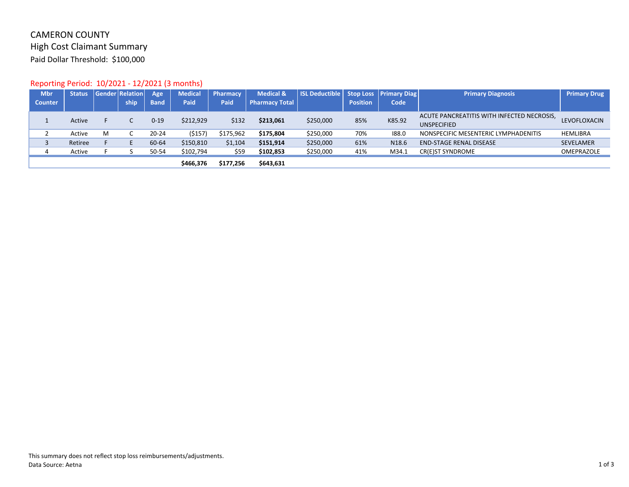# CAMERON COUNTY High Cost Claimant Summary Paid Dollar Threshold: \$100,000

# Reporting Period: 10/2021 ‐ 12/2021 (3 months)

| <b>Mbr</b>     | <b>Status</b> |   | <b>Gender Relation</b> | Age         | <b>Medical</b> | Pharmacy    | <b>Medical &amp;</b>  | <b>ISL Deductible Stop Loss</b> |                 | <b>Primary Diag</b> | <b>Primary Diagnosis</b>                   | <b>Primary Drug</b> |
|----------------|---------------|---|------------------------|-------------|----------------|-------------|-----------------------|---------------------------------|-----------------|---------------------|--------------------------------------------|---------------------|
| <b>Counter</b> |               |   | ship                   | <b>Band</b> | Paid           | <b>Paid</b> | <b>Pharmacy Total</b> |                                 | <b>Position</b> | Code                |                                            |                     |
|                | Active        |   |                        | $0 - 19$    | \$212,929      | \$132       | \$213,061             | \$250,000                       | 85%             | K85.92              | ACUTE PANCREATITIS WITH INFECTED NECROSIS, | LEVOFLOXACIN        |
|                |               |   |                        |             |                |             |                       |                                 |                 |                     | <b>UNSPECIFIED</b>                         |                     |
|                | Active        | M |                        | 20-24       | (5157)         | \$175,962   | \$175,804             | \$250,000                       | 70%             | 188.0               | NONSPECIFIC MESENTERIC LYMPHADENITIS       | <b>HEMLIBRA</b>     |
|                | Retiree       |   |                        | 60-64       | \$150,810      | \$1,104     | \$151,914             | \$250,000                       | 61%             | N18.6               | <b>END-STAGE RENAL DISEASE</b>             | SEVELAMER           |
|                | Active        |   |                        | 50-54       | \$102,794      | \$59        | \$102,853             | \$250,000                       | 41%             | M34.1               | CR(E)ST SYNDROME                           | OMEPRAZOLE          |
|                |               |   |                        |             | \$466,376      | \$177,256   | \$643,631             |                                 |                 |                     |                                            |                     |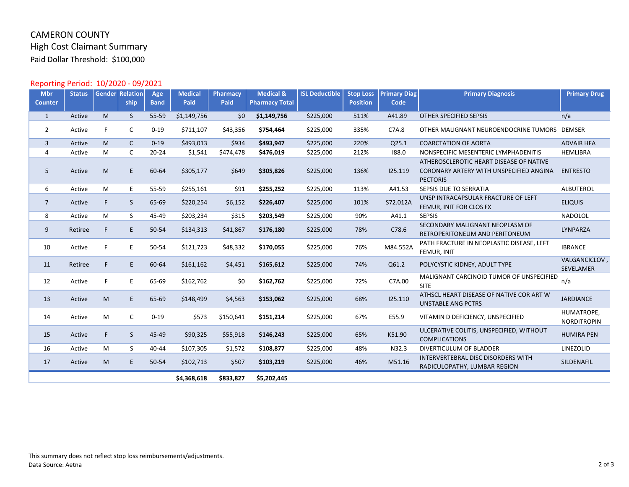# CAMERON COUNTY High Cost Claimant Summary Paid Dollar Threshold: \$100,000

# Reporting Period: 10/2020 ‐ 09/2021

| <b>Mbr</b><br><b>Counter</b> | <b>Status</b> |    | <b>Gender Relation</b><br>ship | Age<br><b>Band</b> | <b>Medical</b><br>Paid | Pharmacy<br>Paid | <b>Medical &amp;</b><br><b>Pharmacy Total</b> | <b>ISL Deductible</b> | <b>Stop Loss</b><br><b>Position</b> | <b>Primary Diag</b><br>Code | <b>Primary Diagnosis</b>                                                                              | <b>Primary Drug</b>              |
|------------------------------|---------------|----|--------------------------------|--------------------|------------------------|------------------|-----------------------------------------------|-----------------------|-------------------------------------|-----------------------------|-------------------------------------------------------------------------------------------------------|----------------------------------|
|                              |               |    |                                |                    |                        |                  |                                               |                       |                                     |                             |                                                                                                       |                                  |
| $\mathbf{1}$                 | Active        | M  | <sub>S</sub>                   | 55-59              | \$1,149,756            | \$0              | \$1,149,756                                   | \$225,000             | 511%                                | A41.89                      | OTHER SPECIFIED SEPSIS                                                                                | n/a                              |
| 2                            | Active        | F. | C                              | $0 - 19$           | \$711,107              | \$43,356         | \$754,464                                     | \$225,000             | 335%                                | C7A.8                       | OTHER MALIGNANT NEUROENDOCRINE TUMORS DEMSER                                                          |                                  |
| $\overline{3}$               | Active        | M  | $\mathsf{C}$                   | $0 - 19$           | \$493,013              | \$934            | \$493,947                                     | \$225,000             | 220%                                | Q25.1                       | <b>COARCTATION OF AORTA</b>                                                                           | <b>ADVAIR HFA</b>                |
| $\overline{4}$               | Active        | M  | C                              | $20 - 24$          | \$1,541                | \$474,478        | \$476,019                                     | \$225,000             | 212%                                | 188.0                       | NONSPECIFIC MESENTERIC LYMPHADENITIS                                                                  | <b>HEMLIBRA</b>                  |
| 5                            | Active        | M  | E                              | 60-64              | \$305,177              | \$649            | \$305,826                                     | \$225,000             | 136%                                | 125.119                     | ATHEROSCLEROTIC HEART DISEASE OF NATIVE<br>CORONARY ARTERY WITH UNSPECIFIED ANGINA<br><b>PECTORIS</b> | <b>ENTRESTO</b>                  |
| 6                            | Active        | M  | E                              | 55-59              | \$255,161              | \$91             | \$255,252                                     | \$225,000             | 113%                                | A41.53                      | SEPSIS DUE TO SERRATIA                                                                                | ALBUTEROL                        |
| $\overline{7}$               | Active        | F. | S                              | 65-69              | \$220,254              | \$6,152          | \$226,407                                     | \$225,000             | 101%                                | S72.012A                    | UNSP INTRACAPSULAR FRACTURE OF LEFT<br>FEMUR, INIT FOR CLOS FX                                        | <b>ELIQUIS</b>                   |
| 8                            | Active        | M  | S                              | 45-49              | \$203,234              | \$315            | \$203,549                                     | \$225,000             | 90%                                 | A41.1                       | <b>SEPSIS</b>                                                                                         | <b>NADOLOL</b>                   |
| 9                            | Retiree       | F  | E                              | 50-54              | \$134,313              | \$41,867         | \$176,180                                     | \$225,000             | 78%                                 | C78.6                       | SECONDARY MALIGNANT NEOPLASM OF<br>RETROPERITONEUM AND PERITONEUM                                     | LYNPARZA                         |
| 10                           | Active        | F  | E                              | 50-54              | \$121,723              | \$48,332         | \$170,055                                     | \$225,000             | 76%                                 | M84.552A                    | PATH FRACTURE IN NEOPLASTIC DISEASE, LEFT<br>FEMUR, INIT                                              | <b>IBRANCE</b>                   |
| 11                           | Retiree       | F. | E                              | 60-64              | \$161,162              | \$4,451          | \$165,612                                     | \$225,000             | 74%                                 | Q61.2                       | POLYCYSTIC KIDNEY, ADULT TYPE                                                                         | VALGANCICLOV,<br>SEVELAMER       |
| 12                           | Active        | F  | E                              | 65-69              | \$162,762              | \$0              | \$162,762                                     | \$225,000             | 72%                                 | C7A.00                      | MALIGNANT CARCINOID TUMOR OF UNSPECIFIED<br><b>SITE</b>                                               | n/a                              |
| 13                           | Active        | M  | E                              | 65-69              | \$148,499              | \$4,563          | \$153,062                                     | \$225,000             | 68%                                 | 125.110                     | ATHSCL HEART DISEASE OF NATIVE COR ART W<br><b>UNSTABLE ANG PCTRS</b>                                 | <b>JARDIANCE</b>                 |
| 14                           | Active        | M  | C                              | $0 - 19$           | \$573                  | \$150,641        | \$151,214                                     | \$225,000             | 67%                                 | E55.9                       | VITAMIN D DEFICIENCY, UNSPECIFIED                                                                     | HUMATROPE,<br><b>NORDITROPIN</b> |
| 15                           | Active        | F  | S                              | 45-49              | \$90,325               | \$55,918         | \$146,243                                     | \$225,000             | 65%                                 | K51.90                      | ULCERATIVE COLITIS, UNSPECIFIED, WITHOUT<br><b>COMPLICATIONS</b>                                      | <b>HUMIRA PEN</b>                |
| 16                           | Active        | M  | S                              | 40-44              | \$107,305              | \$1,572          | \$108,877                                     | \$225,000             | 48%                                 | N32.3                       | DIVERTICULUM OF BLADDER                                                                               | LINEZOLID                        |
| 17                           | Active        | M  | E                              | 50-54              | \$102,713              | \$507            | \$103,219                                     | \$225,000             | 46%                                 | M51.16                      | <b>INTERVERTEBRAL DISC DISORDERS WITH</b><br>RADICULOPATHY, LUMBAR REGION                             | SILDENAFIL                       |
|                              |               |    |                                |                    | \$4,368,618            | \$833,827        | \$5,202,445                                   |                       |                                     |                             |                                                                                                       |                                  |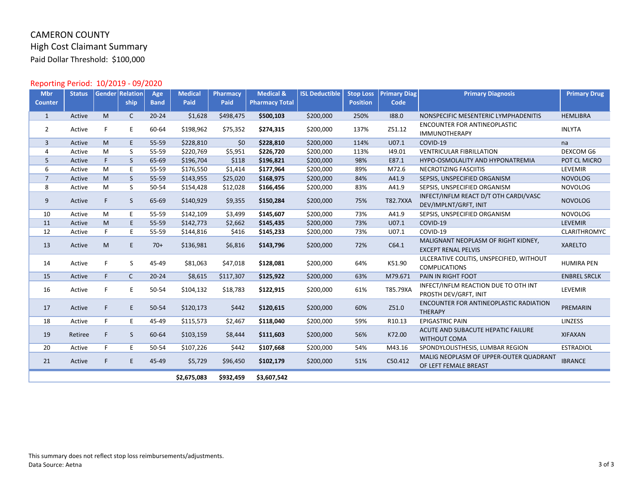# CAMERON COUNTY High Cost Claimant Summary Paid Dollar Threshold: \$100,000

# Reporting Period: 10/2019 ‐ 09/2020

| <b>Mbr</b>     | <b>Status</b> |    | <b>Gender Relation</b> | Age         | <b>Medical</b> | Pharmacy  | <b>Medical &amp;</b>  | <b>ISL Deductible</b> | <b>Stop Loss</b> | <b>Primary Diag</b> | <b>Primary Diagnosis</b>                                          | <b>Primary Drug</b> |
|----------------|---------------|----|------------------------|-------------|----------------|-----------|-----------------------|-----------------------|------------------|---------------------|-------------------------------------------------------------------|---------------------|
| <b>Counter</b> |               |    | ship                   | <b>Band</b> | Paid           | Paid      | <b>Pharmacy Total</b> |                       | <b>Position</b>  | Code                |                                                                   |                     |
| 1              | Active        | M  | C                      | $20 - 24$   | \$1,628        | \$498,475 | \$500,103             | \$200,000             | 250%             | 188.0               | NONSPECIFIC MESENTERIC LYMPHADENITIS                              | <b>HEMLIBRA</b>     |
| $\overline{2}$ | Active        | F. | E                      | 60-64       | \$198,962      | \$75,352  | \$274,315             | \$200,000             | 137%             | Z51.12              | <b>ENCOUNTER FOR ANTINEOPLASTIC</b><br><b>IMMUNOTHERAPY</b>       | <b>INLYTA</b>       |
| $\overline{3}$ | Active        | M  | E                      | 55-59       | \$228,810      | \$0       | \$228,810             | \$200,000             | 114%             | U07.1               | COVID-19                                                          | na                  |
| $\overline{4}$ | Active        | М  | S                      | 55-59       | \$220,769      | \$5,951   | \$226,720             | \$200,000             | 113%             | 149.01              | <b>VENTRICULAR FIBRILLATION</b>                                   | <b>DEXCOM G6</b>    |
| 5              | Active        | F  | S                      | 65-69       | \$196,704      | \$118     | \$196,821             | \$200,000             | 98%              | E87.1               | HYPO-OSMOLALITY AND HYPONATREMIA                                  | POT CL MICRO        |
| 6              | Active        | М  | E                      | 55-59       | \$176,550      | \$1,414   | \$177,964             | \$200,000             | 89%              | M72.6               | NECROTIZING FASCIITIS                                             | <b>LEVEMIR</b>      |
| $\overline{7}$ | Active        | M  | <sub>S</sub>           | 55-59       | \$143,955      | \$25,020  | \$168,975             | \$200,000             | 84%              | A41.9               | SEPSIS, UNSPECIFIED ORGANISM                                      | <b>NOVOLOG</b>      |
| 8              | Active        | М  | S                      | 50-54       | \$154,428      | \$12,028  | \$166,456             | \$200,000             | 83%              | A41.9               | SEPSIS, UNSPECIFIED ORGANISM                                      | <b>NOVOLOG</b>      |
| 9              | Active        | F  | S                      | 65-69       | \$140,929      | \$9,355   | \$150,284             | \$200,000             | 75%              | <b>T82.7XXA</b>     | INFECT/INFLM REACT D/T OTH CARDI/VASC<br>DEV/IMPLNT/GRFT, INIT    | <b>NOVOLOG</b>      |
| 10             | Active        | M  | E                      | 55-59       | \$142,109      | \$3,499   | \$145,607             | \$200,000             | 73%              | A41.9               | SEPSIS, UNSPECIFIED ORGANISM                                      | <b>NOVOLOG</b>      |
| 11             | Active        | M  | E                      | 55-59       | \$142,773      | \$2,662   | \$145,435             | \$200,000             | 73%              | U07.1               | COVID-19                                                          | <b>LEVEMIR</b>      |
| 12             | Active        | F. | E                      | 55-59       | \$144,816      | \$416     | \$145,233             | \$200,000             | 73%              | U07.1               | COVID-19                                                          | CLARITHROMYC        |
| 13             | Active        | M  | E                      | $70+$       | \$136,981      | \$6,816   | \$143,796             | \$200,000             | 72%              | C64.1               | MALIGNANT NEOPLASM OF RIGHT KIDNEY,<br><b>EXCEPT RENAL PELVIS</b> | <b>XARELTO</b>      |
| 14             | Active        | F  | S                      | 45-49       | \$81,063       | \$47,018  | \$128,081             | \$200,000             | 64%              | K51.90              | ULCERATIVE COLITIS, UNSPECIFIED, WITHOUT<br><b>COMPLICATIONS</b>  | <b>HUMIRA PEN</b>   |
| 15             | Active        | F. | $\mathsf{C}$           | $20 - 24$   | \$8,615        | \$117,307 | \$125,922             | \$200,000             | 63%              | M79.671             | PAIN IN RIGHT FOOT                                                | <b>ENBREL SRCLK</b> |
| 16             | Active        | F. | E                      | 50-54       | \$104,132      | \$18,783  | \$122,915             | \$200,000             | 61%              | T85.79XA            | INFECT/INFLM REACTION DUE TO OTH INT<br>PROSTH DEV/GRFT, INIT     | LEVEMIR             |
| 17             | Active        | F  | E                      | 50-54       | \$120,173      | \$442     | \$120,615             | \$200,000             | 60%              | Z51.0               | ENCOUNTER FOR ANTINEOPLASTIC RADIATION<br><b>THERAPY</b>          | PREMARIN            |
| 18             | Active        | F. | E                      | 45-49       | \$115,573      | \$2,467   | \$118,040             | \$200,000             | 59%              | R10.13              | <b>EPIGASTRIC PAIN</b>                                            | LINZESS             |
| 19             | Retiree       | F  | S                      | 60-64       | \$103,159      | \$8,444   | \$111,603             | \$200,000             | 56%              | K72.00              | ACUTE AND SUBACUTE HEPATIC FAILURE<br><b>WITHOUT COMA</b>         | <b>XIFAXAN</b>      |
| 20             | Active        | F. | E                      | 50-54       | \$107,226      | \$442     | \$107,668             | \$200,000             | 54%              | M43.16              | SPONDYLOLISTHESIS, LUMBAR REGION                                  | <b>ESTRADIOL</b>    |
| 21             | Active        | F  | E                      | 45-49       | \$5,729        | \$96,450  | \$102,179             | \$200,000             | 51%              | C50.412             | MALIG NEOPLASM OF UPPER-OUTER QUADRANT<br>OF LEFT FEMALE BREAST   | <b>IBRANCE</b>      |
|                |               |    |                        |             | \$2,675,083    | \$932,459 | \$3,607,542           |                       |                  |                     |                                                                   |                     |